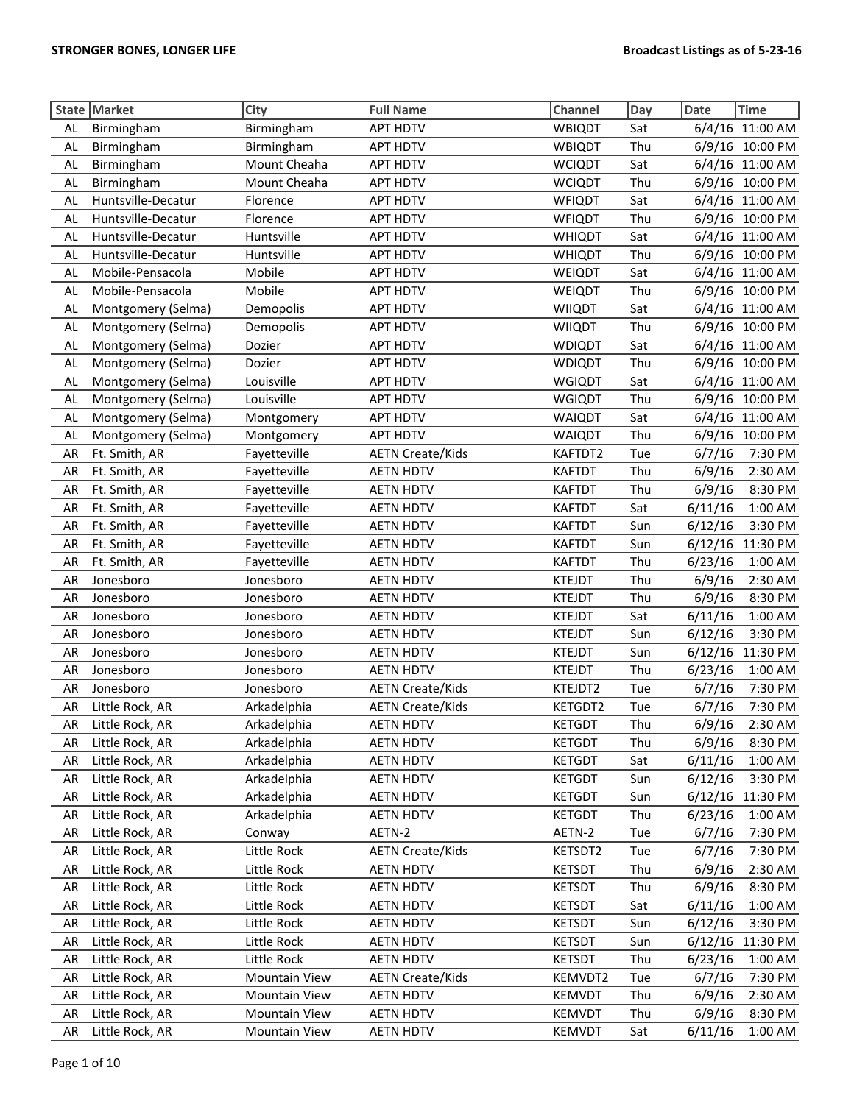|           | State Market       | City                 | <b>Full Name</b>        | Channel       | Day | Date<br><b>Time</b> |
|-----------|--------------------|----------------------|-------------------------|---------------|-----|---------------------|
| <b>AL</b> | Birmingham         | Birmingham           | <b>APT HDTV</b>         | WBIQDT        | Sat | 6/4/16 11:00 AM     |
| AL        | Birmingham         | Birmingham           | <b>APT HDTV</b>         | WBIQDT        | Thu | 6/9/16 10:00 PM     |
| AL        | Birmingham         | Mount Cheaha         | <b>APT HDTV</b>         | <b>WCIQDT</b> | Sat | 6/4/16 11:00 AM     |
| AL        | Birmingham         | Mount Cheaha         | <b>APT HDTV</b>         | <b>WCIQDT</b> | Thu | 6/9/16 10:00 PM     |
| AL        | Huntsville-Decatur | Florence             | <b>APT HDTV</b>         | <b>WFIQDT</b> | Sat | 6/4/16 11:00 AM     |
| AL        | Huntsville-Decatur | Florence             | <b>APT HDTV</b>         | <b>WFIQDT</b> | Thu | 6/9/16 10:00 PM     |
| <b>AL</b> | Huntsville-Decatur | Huntsville           | <b>APT HDTV</b>         | <b>WHIQDT</b> | Sat | 6/4/16 11:00 AM     |
| <b>AL</b> | Huntsville-Decatur | Huntsville           | <b>APT HDTV</b>         | <b>WHIQDT</b> | Thu | 6/9/16<br>10:00 PM  |
| AL        | Mobile-Pensacola   | Mobile               | <b>APT HDTV</b>         | <b>WEIQDT</b> | Sat | 6/4/16 11:00 AM     |
| AL        | Mobile-Pensacola   | Mobile               | <b>APT HDTV</b>         | WEIQDT        | Thu | 6/9/16 10:00 PM     |
| AL        | Montgomery (Selma) | Demopolis            | <b>APT HDTV</b>         | <b>WIIQDT</b> | Sat | 6/4/16 11:00 AM     |
| AL        | Montgomery (Selma) | Demopolis            | <b>APT HDTV</b>         | <b>WIIQDT</b> | Thu | 6/9/16 10:00 PM     |
| AL        | Montgomery (Selma) | Dozier               | <b>APT HDTV</b>         | <b>WDIQDT</b> | Sat | 6/4/16 11:00 AM     |
| AL        | Montgomery (Selma) | Dozier               | <b>APT HDTV</b>         | <b>WDIQDT</b> | Thu | 6/9/16 10:00 PM     |
| AL        | Montgomery (Selma) | Louisville           | <b>APT HDTV</b>         | <b>WGIQDT</b> | Sat | 6/4/16 11:00 AM     |
| AL        | Montgomery (Selma) | Louisville           | <b>APT HDTV</b>         | <b>WGIQDT</b> | Thu | 6/9/16 10:00 PM     |
| AL        | Montgomery (Selma) | Montgomery           | <b>APT HDTV</b>         | <b>WAIQDT</b> | Sat | 6/4/16 11:00 AM     |
| AL        | Montgomery (Selma) | Montgomery           | <b>APT HDTV</b>         | <b>WAIQDT</b> | Thu | 10:00 PM<br>6/9/16  |
| AR        | Ft. Smith, AR      | Fayetteville         | <b>AETN Create/Kids</b> | KAFTDT2       | Tue | 6/7/16<br>7:30 PM   |
| AR        | Ft. Smith, AR      | Fayetteville         | <b>AETN HDTV</b>        | <b>KAFTDT</b> | Thu | 2:30 AM<br>6/9/16   |
| AR        | Ft. Smith, AR      | Fayetteville         | <b>AETN HDTV</b>        | <b>KAFTDT</b> | Thu | 6/9/16<br>8:30 PM   |
| AR        | Ft. Smith, AR      | Fayetteville         | <b>AETN HDTV</b>        | <b>KAFTDT</b> | Sat | 6/11/16<br>1:00 AM  |
| AR        | Ft. Smith, AR      | Fayetteville         | <b>AETN HDTV</b>        | <b>KAFTDT</b> | Sun | 3:30 PM<br>6/12/16  |
| AR        | Ft. Smith, AR      | Fayetteville         | <b>AETN HDTV</b>        | <b>KAFTDT</b> | Sun | 6/12/16<br>11:30 PM |
| AR        | Ft. Smith, AR      | Fayetteville         | <b>AETN HDTV</b>        | <b>KAFTDT</b> | Thu | 6/23/16<br>1:00 AM  |
| AR        | Jonesboro          | Jonesboro            | <b>AETN HDTV</b>        | <b>KTEJDT</b> | Thu | 2:30 AM<br>6/9/16   |
| AR        | Jonesboro          | Jonesboro            | <b>AETN HDTV</b>        | <b>KTEJDT</b> | Thu | 6/9/16<br>8:30 PM   |
| AR        | Jonesboro          | Jonesboro            | <b>AETN HDTV</b>        | <b>KTEJDT</b> | Sat | 6/11/16<br>1:00 AM  |
| AR        | Jonesboro          | Jonesboro            | <b>AETN HDTV</b>        | <b>KTEJDT</b> | Sun | 6/12/16<br>3:30 PM  |
| AR        | Jonesboro          | Jonesboro            | <b>AETN HDTV</b>        | <b>KTEJDT</b> | Sun | 11:30 PM<br>6/12/16 |
| AR        | Jonesboro          | Jonesboro            | <b>AETN HDTV</b>        | <b>KTEJDT</b> | Thu | 6/23/16<br>1:00 AM  |
| AR        | Jonesboro          | Jonesboro            | <b>AETN Create/Kids</b> | KTEJDT2       | Tue | 7:30 PM<br>6/7/16   |
| AR        | Little Rock, AR    | Arkadelphia          | <b>AETN Create/Kids</b> | KETGDT2       | Tue | 7:30 PM<br>6/7/16   |
| AR        | Little Rock, AR    | Arkadelphia          | <b>AETN HDTV</b>        | <b>KETGDT</b> | Thu | 6/9/16<br>2:30 AM   |
| AR        | Little Rock, AR    | Arkadelphia          | <b>AETN HDTV</b>        | <b>KETGDT</b> | Thu | 6/9/16<br>8:30 PM   |
| AR        | Little Rock, AR    | Arkadelphia          | <b>AETN HDTV</b>        | <b>KETGDT</b> | Sat | 6/11/16<br>1:00 AM  |
| AR        | Little Rock, AR    | Arkadelphia          | <b>AETN HDTV</b>        | <b>KETGDT</b> | Sun | 6/12/16<br>3:30 PM  |
| AR        | Little Rock, AR    | Arkadelphia          | <b>AETN HDTV</b>        | <b>KETGDT</b> | Sun | 6/12/16<br>11:30 PM |
| AR        | Little Rock, AR    | Arkadelphia          | <b>AETN HDTV</b>        | <b>KETGDT</b> | Thu | 6/23/16<br>1:00 AM  |
| AR        | Little Rock, AR    | Conway               | AETN-2                  | AETN-2        | Tue | 6/7/16<br>7:30 PM   |
| AR        | Little Rock, AR    | Little Rock          | <b>AETN Create/Kids</b> | KETSDT2       | Tue | 6/7/16<br>7:30 PM   |
| AR        | Little Rock, AR    | Little Rock          | <b>AETN HDTV</b>        | <b>KETSDT</b> | Thu | 6/9/16<br>2:30 AM   |
| AR        | Little Rock, AR    | Little Rock          | <b>AETN HDTV</b>        | <b>KETSDT</b> | Thu | 6/9/16<br>8:30 PM   |
| AR        | Little Rock, AR    | Little Rock          | <b>AETN HDTV</b>        | <b>KETSDT</b> | Sat | 6/11/16<br>1:00 AM  |
| AR        | Little Rock, AR    | Little Rock          | <b>AETN HDTV</b>        | <b>KETSDT</b> | Sun | 3:30 PM<br>6/12/16  |
| AR        | Little Rock, AR    | Little Rock          | <b>AETN HDTV</b>        | <b>KETSDT</b> | Sun | 6/12/16<br>11:30 PM |
| AR        | Little Rock, AR    | Little Rock          | <b>AETN HDTV</b>        | <b>KETSDT</b> | Thu | 6/23/16<br>1:00 AM  |
| AR        | Little Rock, AR    | <b>Mountain View</b> | <b>AETN Create/Kids</b> | KEMVDT2       | Tue | 6/7/16<br>7:30 PM   |
| AR        | Little Rock, AR    | <b>Mountain View</b> | <b>AETN HDTV</b>        | <b>KEMVDT</b> | Thu | 6/9/16<br>2:30 AM   |
| AR        | Little Rock, AR    | <b>Mountain View</b> | <b>AETN HDTV</b>        | <b>KEMVDT</b> | Thu | 6/9/16<br>8:30 PM   |
| AR        | Little Rock, AR    | <b>Mountain View</b> | <b>AETN HDTV</b>        | <b>KEMVDT</b> | Sat | 1:00 AM<br>6/11/16  |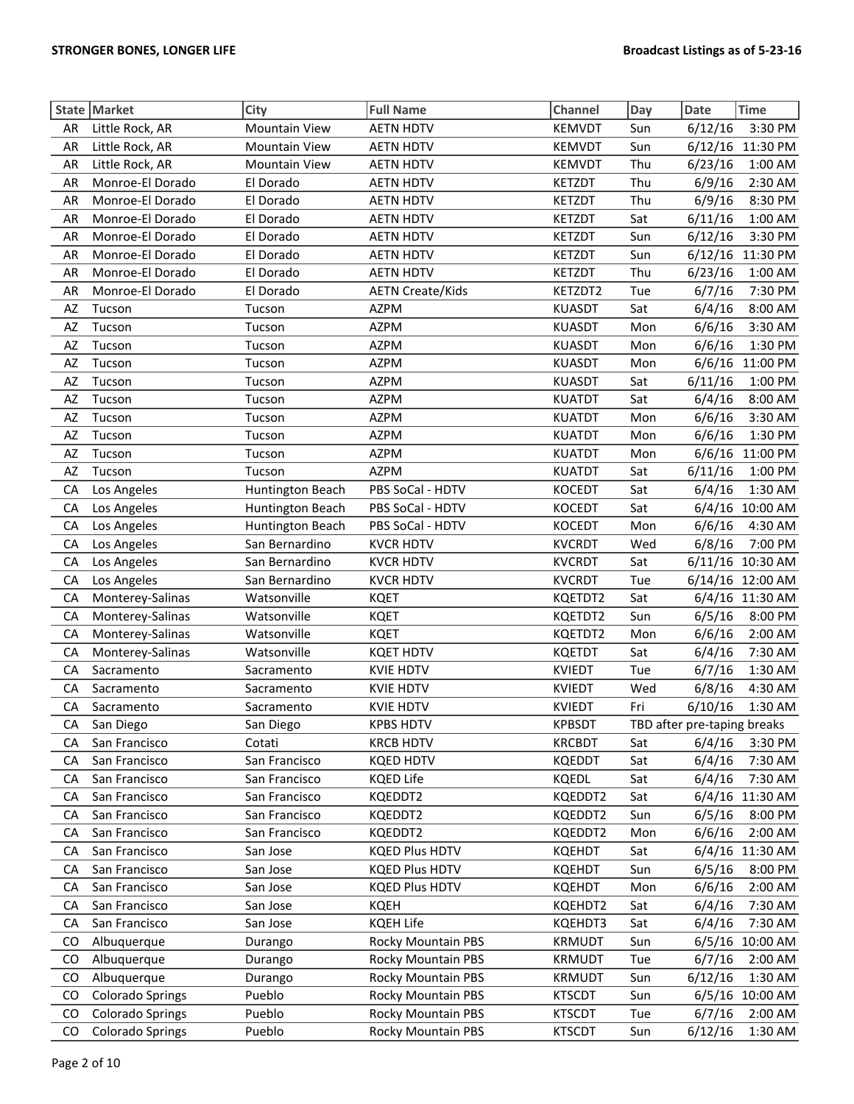|          | State Market                   | City                    | <b>Full Name</b>                     | Channel                        | Day        | <b>Date</b>                 | <b>Time</b>        |
|----------|--------------------------------|-------------------------|--------------------------------------|--------------------------------|------------|-----------------------------|--------------------|
| AR       | Little Rock, AR                | <b>Mountain View</b>    | <b>AETN HDTV</b>                     | <b>KEMVDT</b>                  | Sun        | 6/12/16                     | 3:30 PM            |
| AR       | Little Rock, AR                | <b>Mountain View</b>    | <b>AETN HDTV</b>                     | <b>KEMVDT</b>                  | Sun        |                             | 6/12/16 11:30 PM   |
| AR       | Little Rock, AR                | <b>Mountain View</b>    | <b>AETN HDTV</b>                     | <b>KEMVDT</b>                  | Thu        | 6/23/16                     | 1:00 AM            |
| AR       | Monroe-El Dorado               | El Dorado               | <b>AETN HDTV</b>                     | <b>KETZDT</b>                  | Thu        | 6/9/16                      | 2:30 AM            |
| AR       | Monroe-El Dorado               | El Dorado               | <b>AETN HDTV</b>                     | <b>KETZDT</b>                  | Thu        | 6/9/16                      | 8:30 PM            |
| AR       | Monroe-El Dorado               | El Dorado               | <b>AETN HDTV</b>                     | <b>KETZDT</b>                  | Sat        | 6/11/16                     | 1:00 AM            |
| AR       | Monroe-El Dorado               | El Dorado               | <b>AETN HDTV</b>                     | <b>KETZDT</b>                  | Sun        | 6/12/16                     | 3:30 PM            |
| AR       | Monroe-El Dorado               | El Dorado               | <b>AETN HDTV</b>                     | <b>KETZDT</b>                  | Sun        |                             | 6/12/16 11:30 PM   |
| AR       | Monroe-El Dorado               | El Dorado               | <b>AETN HDTV</b>                     | KETZDT                         | Thu        | 6/23/16                     | 1:00 AM            |
| AR       | Monroe-El Dorado               | El Dorado               | <b>AETN Create/Kids</b>              | KETZDT2                        | Tue        | 6/7/16                      | 7:30 PM            |
| AZ       | Tucson                         | Tucson                  | <b>AZPM</b>                          | <b>KUASDT</b>                  | Sat        | 6/4/16                      | 8:00 AM            |
| AZ       | Tucson                         | Tucson                  | <b>AZPM</b>                          | <b>KUASDT</b>                  | Mon        | 6/6/16                      | 3:30 AM            |
| AZ       | Tucson                         | Tucson                  | <b>AZPM</b>                          | <b>KUASDT</b>                  | Mon        | 6/6/16                      | 1:30 PM            |
| AZ       | Tucson                         | Tucson                  | <b>AZPM</b>                          | <b>KUASDT</b>                  | Mon        |                             | 6/6/16 11:00 PM    |
| AZ       | Tucson                         | Tucson                  | <b>AZPM</b>                          | <b>KUASDT</b>                  | Sat        | 6/11/16                     | 1:00 PM            |
| AZ       | Tucson                         | Tucson                  | <b>AZPM</b>                          | <b>KUATDT</b>                  | Sat        | 6/4/16                      | 8:00 AM            |
| AZ       | Tucson                         | Tucson                  | <b>AZPM</b>                          | <b>KUATDT</b>                  | Mon        | 6/6/16                      | 3:30 AM            |
| AZ       | Tucson                         | Tucson                  | <b>AZPM</b>                          | <b>KUATDT</b>                  | Mon        | 6/6/16                      | 1:30 PM            |
| AZ       | Tucson                         | Tucson                  | <b>AZPM</b>                          | <b>KUATDT</b>                  | Mon        | 6/6/16                      | 11:00 PM           |
| AZ       | Tucson                         | Tucson                  | <b>AZPM</b>                          | <b>KUATDT</b>                  | Sat        | 6/11/16                     | 1:00 PM            |
| CA       | Los Angeles                    | Huntington Beach        | PBS SoCal - HDTV                     | <b>KOCEDT</b>                  | Sat        | 6/4/16                      | 1:30 AM            |
| CA       | Los Angeles                    | Huntington Beach        | PBS SoCal - HDTV                     | <b>KOCEDT</b>                  | Sat        |                             | 6/4/16 10:00 AM    |
| CA       | Los Angeles                    | Huntington Beach        | PBS SoCal - HDTV                     | <b>KOCEDT</b>                  | Mon        | 6/6/16                      | 4:30 AM            |
| CA       | Los Angeles                    | San Bernardino          | <b>KVCR HDTV</b>                     | <b>KVCRDT</b>                  | Wed        | 6/8/16                      | 7:00 PM            |
| CA       | Los Angeles                    | San Bernardino          | <b>KVCR HDTV</b>                     | <b>KVCRDT</b>                  | Sat        |                             | 6/11/16 10:30 AM   |
| CA       | Los Angeles                    | San Bernardino          | <b>KVCR HDTV</b>                     | <b>KVCRDT</b>                  | Tue        |                             | 6/14/16 12:00 AM   |
| CA       | Monterey-Salinas               | Watsonville             | <b>KQET</b>                          | KQETDT2                        | Sat        |                             | 6/4/16 11:30 AM    |
| CA       | Monterey-Salinas               | Watsonville             | <b>KQET</b>                          | KQETDT2                        | Sun        | 6/5/16                      | 8:00 PM            |
| CA       | Monterey-Salinas               | Watsonville             | <b>KQET</b>                          | KQETDT2                        | Mon        | 6/6/16                      | 2:00 AM            |
| CA       | Monterey-Salinas               | Watsonville             | <b>KQET HDTV</b>                     | <b>KQETDT</b>                  | Sat        | 6/4/16                      | 7:30 AM            |
| CA       | Sacramento                     | Sacramento              | <b>KVIE HDTV</b>                     | <b>KVIEDT</b>                  | Tue        | 6/7/16                      | 1:30 AM            |
| CA       | Sacramento                     | Sacramento              | <b>KVIE HDTV</b><br><b>KVIE HDTV</b> | <b>KVIEDT</b><br><b>KVIEDT</b> | Wed        | 6/8/16                      | 4:30 AM<br>1:30 AM |
| CA       | Sacramento                     | Sacramento              |                                      |                                | Fri        | 6/10/16                     |                    |
| СA       | San Diego                      | San Diego               | <b>KPBS HDTV</b>                     | <b>KPBSDT</b>                  |            | TBD after pre-taping breaks |                    |
| CА<br>CA | San Francisco<br>San Francisco | Cotati<br>San Francisco | <b>KRCB HDTV</b><br><b>KQED HDTV</b> | <b>KRCBDT</b><br><b>KQEDDT</b> | Sat<br>Sat | 6/4/16<br>6/4/16            | 3:30 PM<br>7:30 AM |
| СA       | San Francisco                  | San Francisco           | <b>KQED Life</b>                     | KQEDL                          | Sat        | 6/4/16                      | 7:30 AM            |
| СA       | San Francisco                  | San Francisco           | KQEDDT2                              | KQEDDT2                        | Sat        |                             | 6/4/16 11:30 AM    |
| CA       | San Francisco                  | San Francisco           | KQEDDT2                              | KQEDDT2                        | Sun        | 6/5/16                      | 8:00 PM            |
| CA       | San Francisco                  | San Francisco           | KQEDDT2                              | KQEDDT2                        | Mon        | 6/6/16                      | 2:00 AM            |
| СA       | San Francisco                  | San Jose                | <b>KQED Plus HDTV</b>                | <b>KQEHDT</b>                  | Sat        | 6/4/16                      | 11:30 AM           |
| CA       | San Francisco                  | San Jose                | <b>KQED Plus HDTV</b>                | <b>KQEHDT</b>                  | Sun        | 6/5/16                      | 8:00 PM            |
| СA       | San Francisco                  | San Jose                | <b>KQED Plus HDTV</b>                | <b>KQEHDT</b>                  | Mon        | 6/6/16                      | 2:00 AM            |
| СA       | San Francisco                  | San Jose                | <b>KQEH</b>                          | KQEHDT2                        | Sat        | 6/4/16                      | 7:30 AM            |
| СA       | San Francisco                  | San Jose                | <b>KQEH Life</b>                     | KQEHDT3                        | Sat        | 6/4/16                      | 7:30 AM            |
| CO       | Albuquerque                    | Durango                 | <b>Rocky Mountain PBS</b>            | <b>KRMUDT</b>                  | Sun        | 6/5/16                      | 10:00 AM           |
| CO       | Albuquerque                    | Durango                 | <b>Rocky Mountain PBS</b>            | KRMUDT                         | Tue        | 6/7/16                      | 2:00 AM            |
| CO       | Albuquerque                    | Durango                 | <b>Rocky Mountain PBS</b>            | <b>KRMUDT</b>                  | Sun        | 6/12/16                     | 1:30 AM            |
| CO       | <b>Colorado Springs</b>        | Pueblo                  | <b>Rocky Mountain PBS</b>            | <b>KTSCDT</b>                  | Sun        |                             | 6/5/16 10:00 AM    |
| CO.      | <b>Colorado Springs</b>        | Pueblo                  | <b>Rocky Mountain PBS</b>            | <b>KTSCDT</b>                  | Tue        | 6/7/16                      | 2:00 AM            |
| CO       | <b>Colorado Springs</b>        | Pueblo                  | <b>Rocky Mountain PBS</b>            | <b>KTSCDT</b>                  | Sun        | 6/12/16                     | 1:30 AM            |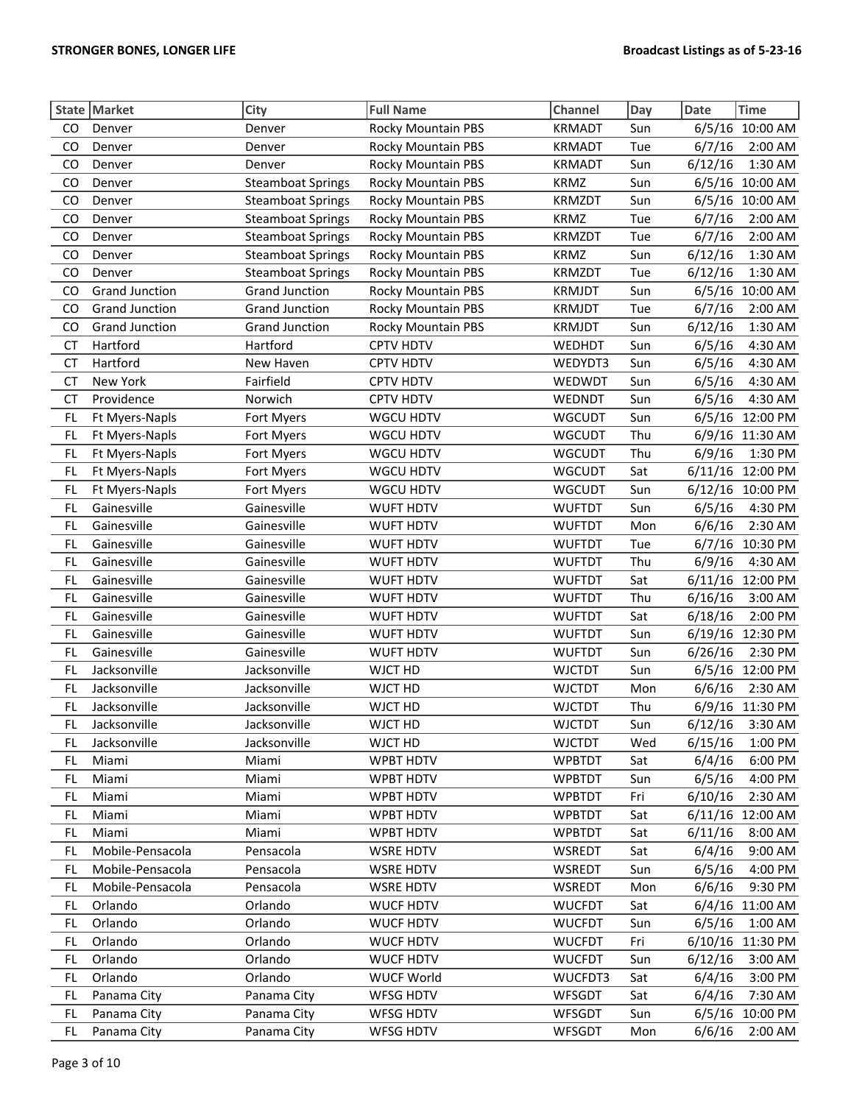|           | State Market          | City                     | <b>Full Name</b>          | Channel       | Day | <b>Date</b> | <b>Time</b>      |
|-----------|-----------------------|--------------------------|---------------------------|---------------|-----|-------------|------------------|
| CO        | Denver                | Denver                   | Rocky Mountain PBS        | <b>KRMADT</b> | Sun | 6/5/16      | 10:00 AM         |
| CO        | Denver                | Denver                   | <b>Rocky Mountain PBS</b> | <b>KRMADT</b> | Tue | 6/7/16      | 2:00 AM          |
| CO        | Denver                | Denver                   | Rocky Mountain PBS        | <b>KRMADT</b> | Sun | 6/12/16     | 1:30 AM          |
| CO        | Denver                | <b>Steamboat Springs</b> | Rocky Mountain PBS        | <b>KRMZ</b>   | Sun |             | 6/5/16 10:00 AM  |
| CO        | Denver                | <b>Steamboat Springs</b> | <b>Rocky Mountain PBS</b> | <b>KRMZDT</b> | Sun | 6/5/16      | 10:00 AM         |
| CO        | Denver                | <b>Steamboat Springs</b> | Rocky Mountain PBS        | <b>KRMZ</b>   | Tue | 6/7/16      | 2:00 AM          |
| CO        | Denver                | <b>Steamboat Springs</b> | Rocky Mountain PBS        | <b>KRMZDT</b> | Tue | 6/7/16      | 2:00 AM          |
| CO        | Denver                | <b>Steamboat Springs</b> | Rocky Mountain PBS        | <b>KRMZ</b>   | Sun | 6/12/16     | 1:30 AM          |
| CO        | Denver                | <b>Steamboat Springs</b> | Rocky Mountain PBS        | <b>KRMZDT</b> | Tue | 6/12/16     | 1:30 AM          |
| CO        | <b>Grand Junction</b> | <b>Grand Junction</b>    | Rocky Mountain PBS        | <b>KRMJDT</b> | Sun | 6/5/16      | 10:00 AM         |
| CO        | <b>Grand Junction</b> | <b>Grand Junction</b>    | Rocky Mountain PBS        | <b>KRMJDT</b> | Tue | 6/7/16      | 2:00 AM          |
| CO        | <b>Grand Junction</b> | <b>Grand Junction</b>    | Rocky Mountain PBS        | <b>KRMJDT</b> | Sun | 6/12/16     | 1:30 AM          |
| <b>CT</b> | Hartford              | Hartford                 | CPTV HDTV                 | WEDHDT        | Sun | 6/5/16      | 4:30 AM          |
| <b>CT</b> | Hartford              | New Haven                | <b>CPTV HDTV</b>          | WEDYDT3       | Sun | 6/5/16      | 4:30 AM          |
| <b>CT</b> | New York              | Fairfield                | <b>CPTV HDTV</b>          | WEDWDT        | Sun | 6/5/16      | 4:30 AM          |
| <b>CT</b> | Providence            | Norwich                  | <b>CPTV HDTV</b>          | WEDNDT        | Sun | 6/5/16      | 4:30 AM          |
| FL        | Ft Myers-Napls        | Fort Myers               | <b>WGCU HDTV</b>          | <b>WGCUDT</b> | Sun | 6/5/16      | 12:00 PM         |
| FL        | Ft Myers-Napls        | Fort Myers               | <b>WGCU HDTV</b>          | <b>WGCUDT</b> | Thu |             | 6/9/16 11:30 AM  |
| FL        | Ft Myers-Napls        | Fort Myers               | WGCU HDTV                 | <b>WGCUDT</b> | Thu | 6/9/16      | 1:30 PM          |
| FL        | Ft Myers-Napls        | Fort Myers               | WGCU HDTV                 | <b>WGCUDT</b> | Sat | 6/11/16     | 12:00 PM         |
| FL.       | Ft Myers-Napls        | Fort Myers               | WGCU HDTV                 | <b>WGCUDT</b> | Sun |             | 6/12/16 10:00 PM |
| FL.       | Gainesville           | Gainesville              | WUFT HDTV                 | <b>WUFTDT</b> | Sun | 6/5/16      | 4:30 PM          |
| FL        | Gainesville           | Gainesville              | <b>WUFT HDTV</b>          | <b>WUFTDT</b> | Mon | 6/6/16      | 2:30 AM          |
| FL        | Gainesville           | Gainesville              | <b>WUFT HDTV</b>          | <b>WUFTDT</b> | Tue |             | 6/7/16 10:30 PM  |
| FL.       | Gainesville           | Gainesville              | <b>WUFT HDTV</b>          | <b>WUFTDT</b> | Thu | 6/9/16      | 4:30 AM          |
| FL.       | Gainesville           | Gainesville              | <b>WUFT HDTV</b>          | <b>WUFTDT</b> | Sat |             | 6/11/16 12:00 PM |
| FL.       | Gainesville           | Gainesville              | <b>WUFT HDTV</b>          | <b>WUFTDT</b> | Thu | 6/16/16     | 3:00 AM          |
| FL.       | Gainesville           | Gainesville              | <b>WUFT HDTV</b>          | <b>WUFTDT</b> | Sat | 6/18/16     | 2:00 PM          |
| FL.       | Gainesville           | Gainesville              | <b>WUFT HDTV</b>          | <b>WUFTDT</b> | Sun |             | 6/19/16 12:30 PM |
| FL        | Gainesville           | Gainesville              | WUFT HDTV                 | <b>WUFTDT</b> | Sun | 6/26/16     | 2:30 PM          |
| FL        | Jacksonville          | Jacksonville             | WJCT HD                   | <b>WJCTDT</b> | Sun |             | 6/5/16 12:00 PM  |
| FL.       | Jacksonville          | Jacksonville             | WJCT HD                   | <b>WJCTDT</b> | Mon | 6/6/16      | 2:30 AM          |
| FL.       | Jacksonville          | Jacksonville             | WJCT HD                   | <b>WJCTDT</b> | Thu |             | 6/9/16 11:30 PM  |
| FL        | Jacksonville          | Jacksonville             | WJCT HD                   | <b>WJCTDT</b> | Sun | 6/12/16     | 3:30 AM          |
| FL.       | Jacksonville          | Jacksonville             | WJCT HD                   | <b>WJCTDT</b> | Wed | 6/15/16     | 1:00 PM          |
| FL        | Miami                 | Miami                    | <b>WPBT HDTV</b>          | <b>WPBTDT</b> | Sat | 6/4/16      | 6:00 PM          |
| FL        | Miami                 | Miami                    | <b>WPBT HDTV</b>          | <b>WPBTDT</b> | Sun | 6/5/16      | 4:00 PM          |
| FL.       | Miami                 | Miami                    | WPBT HDTV                 | <b>WPBTDT</b> | Fri | 6/10/16     | 2:30 AM          |
| FL        | Miami                 | Miami                    | <b>WPBT HDTV</b>          | <b>WPBTDT</b> | Sat | 6/11/16     | 12:00 AM         |
| FL        | Miami                 | Miami                    | <b>WPBT HDTV</b>          | <b>WPBTDT</b> | Sat | 6/11/16     | 8:00 AM          |
| FL        | Mobile-Pensacola      | Pensacola                | <b>WSRE HDTV</b>          | WSREDT        | Sat | 6/4/16      | 9:00 AM          |
| FL        | Mobile-Pensacola      | Pensacola                | <b>WSRE HDTV</b>          | WSREDT        | Sun | 6/5/16      | 4:00 PM          |
| FL        | Mobile-Pensacola      | Pensacola                | <b>WSRE HDTV</b>          | WSREDT        | Mon | 6/6/16      | 9:30 PM          |
| FL        | Orlando               | Orlando                  | <b>WUCF HDTV</b>          | <b>WUCFDT</b> | Sat | 6/4/16      | 11:00 AM         |
| FL        | Orlando               | Orlando                  | <b>WUCF HDTV</b>          | <b>WUCFDT</b> | Sun | 6/5/16      | 1:00 AM          |
| FL        | Orlando               | Orlando                  | <b>WUCF HDTV</b>          | <b>WUCFDT</b> | Fri |             | 6/10/16 11:30 PM |
| FL        | Orlando               | Orlando                  | <b>WUCF HDTV</b>          | <b>WUCFDT</b> | Sun | 6/12/16     | 3:00 AM          |
| FL        | Orlando               | Orlando                  | <b>WUCF World</b>         | WUCFDT3       | Sat | 6/4/16      | 3:00 PM          |
| FL.       | Panama City           | Panama City              | WFSG HDTV                 | <b>WFSGDT</b> | Sat | 6/4/16      | 7:30 AM          |
| FL        | Panama City           | Panama City              | <b>WFSG HDTV</b>          | WFSGDT        | Sun | 6/5/16      | 10:00 PM         |
| FL.       | Panama City           | Panama City              | <b>WFSG HDTV</b>          | WFSGDT        | Mon | 6/6/16      | 2:00 AM          |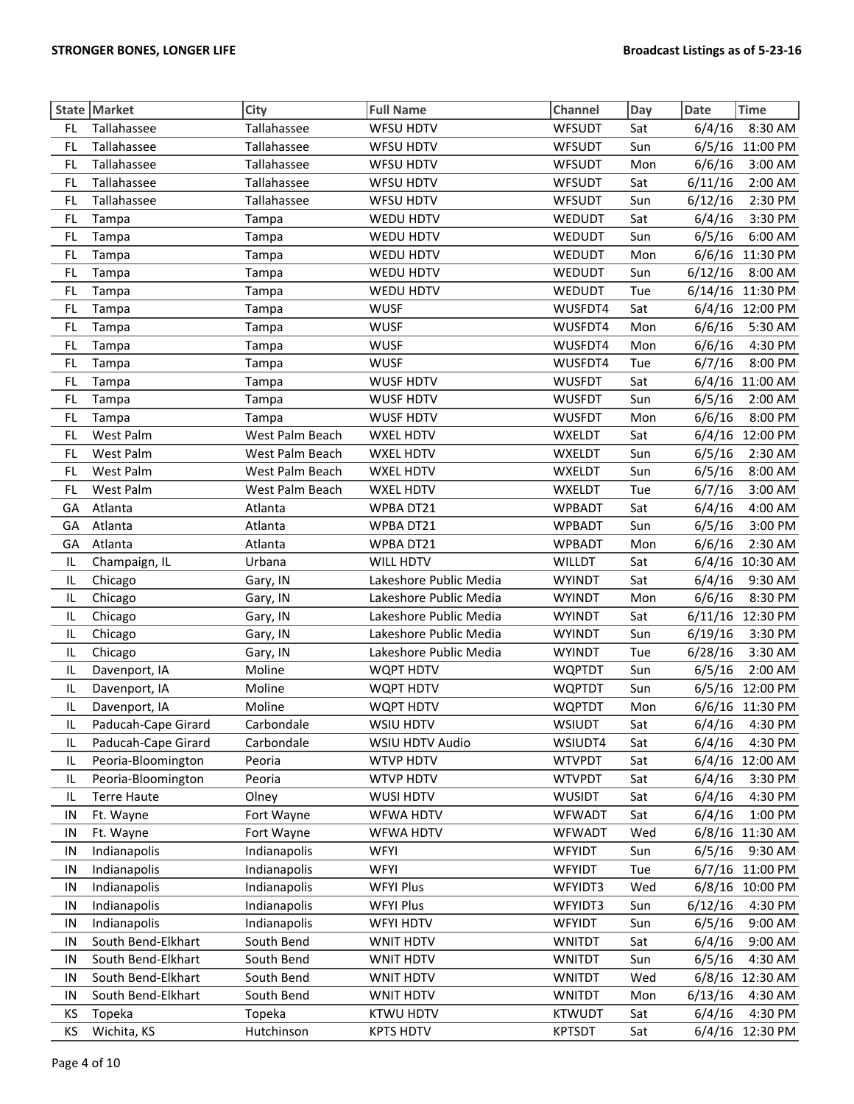|           | State Market        | City            | <b>Full Name</b>       | Channel       | Day | Date    | <b>Time</b>      |
|-----------|---------------------|-----------------|------------------------|---------------|-----|---------|------------------|
| FL.       | Tallahassee         | Tallahassee     | <b>WFSU HDTV</b>       | <b>WFSUDT</b> | Sat | 6/4/16  | 8:30 AM          |
| FL.       | Tallahassee         | Tallahassee     | <b>WFSU HDTV</b>       | <b>WFSUDT</b> | Sun | 6/5/16  | 11:00 PM         |
| FL.       | Tallahassee         | Tallahassee     | WFSU HDTV              | <b>WFSUDT</b> | Mon | 6/6/16  | 3:00 AM          |
| FL        | Tallahassee         | Tallahassee     | <b>WFSU HDTV</b>       | <b>WFSUDT</b> | Sat | 6/11/16 | 2:00 AM          |
| FL        | Tallahassee         | Tallahassee     | <b>WFSU HDTV</b>       | <b>WFSUDT</b> | Sun | 6/12/16 | 2:30 PM          |
| FL        | Tampa               | Tampa           | WEDU HDTV              | WEDUDT        | Sat | 6/4/16  | 3:30 PM          |
| FL        | Tampa               | Tampa           | WEDU HDTV              | <b>WEDUDT</b> | Sun | 6/5/16  | 6:00 AM          |
| <b>FL</b> | Tampa               | Tampa           | <b>WEDU HDTV</b>       | <b>WEDUDT</b> | Mon | 6/6/16  | 11:30 PM         |
| FL        | Tampa               | Tampa           | WEDU HDTV              | <b>WEDUDT</b> | Sun | 6/12/16 | 8:00 AM          |
| FL.       | Tampa               | Tampa           | WEDU HDTV              | <b>WEDUDT</b> | Tue |         | 6/14/16 11:30 PM |
| FL        | Tampa               | Tampa           | <b>WUSF</b>            | WUSFDT4       | Sat |         | 6/4/16 12:00 PM  |
| <b>FL</b> | Tampa               | Tampa           | <b>WUSF</b>            | WUSFDT4       | Mon | 6/6/16  | 5:30 AM          |
| <b>FL</b> | Tampa               | Tampa           | <b>WUSF</b>            | WUSFDT4       | Mon | 6/6/16  | 4:30 PM          |
| FL        | Tampa               | Tampa           | <b>WUSF</b>            | WUSFDT4       | Tue | 6/7/16  | 8:00 PM          |
| FL.       | Tampa               | Tampa           | <b>WUSF HDTV</b>       | <b>WUSFDT</b> | Sat |         | 6/4/16 11:00 AM  |
| FL.       | Tampa               | Tampa           | <b>WUSF HDTV</b>       | <b>WUSFDT</b> | Sun | 6/5/16  | 2:00 AM          |
| FL        | Tampa               | Tampa           | <b>WUSF HDTV</b>       | <b>WUSFDT</b> | Mon | 6/6/16  | 8:00 PM          |
| FL        | West Palm           | West Palm Beach | <b>WXEL HDTV</b>       | <b>WXELDT</b> | Sat |         | 6/4/16 12:00 PM  |
| <b>FL</b> | West Palm           | West Palm Beach | <b>WXEL HDTV</b>       | <b>WXELDT</b> | Sun | 6/5/16  | 2:30 AM          |
| FL        | West Palm           | West Palm Beach | WXEL HDTV              | <b>WXELDT</b> | Sun | 6/5/16  | 8:00 AM          |
| FL.       | West Palm           | West Palm Beach | <b>WXEL HDTV</b>       | WXELDT        | Tue | 6/7/16  | 3:00 AM          |
| GA        | Atlanta             | Atlanta         | WPBA DT21              | <b>WPBADT</b> | Sat | 6/4/16  | 4:00 AM          |
| GA        | Atlanta             | Atlanta         | WPBA DT21              | <b>WPBADT</b> | Sun | 6/5/16  | 3:00 PM          |
| GA        | Atlanta             | Atlanta         | WPBA DT21              | <b>WPBADT</b> | Mon | 6/6/16  | 2:30 AM          |
| IL.       | Champaign, IL       | Urbana          | <b>WILL HDTV</b>       | <b>WILLDT</b> | Sat |         | 6/4/16 10:30 AM  |
| IL        | Chicago             | Gary, IN        | Lakeshore Public Media | <b>WYINDT</b> | Sat | 6/4/16  | 9:30 AM          |
| IL.       | Chicago             | Gary, IN        | Lakeshore Public Media | <b>WYINDT</b> | Mon | 6/6/16  | 8:30 PM          |
| IL        | Chicago             | Gary, IN        | Lakeshore Public Media | <b>WYINDT</b> | Sat |         | 6/11/16 12:30 PM |
| IL        | Chicago             | Gary, IN        | Lakeshore Public Media | <b>WYINDT</b> | Sun | 6/19/16 | 3:30 PM          |
| IL        | Chicago             | Gary, IN        | Lakeshore Public Media | <b>WYINDT</b> | Tue | 6/28/16 | 3:30 AM          |
| IL        | Davenport, IA       | Moline          | WQPT HDTV              | <b>WQPTDT</b> | Sun | 6/5/16  | 2:00 AM          |
| IL        | Davenport, IA       | Moline          | <b>WQPT HDTV</b>       | <b>WQPTDT</b> | Sun |         | 6/5/16 12:00 PM  |
| IL        | Davenport, IA       | Moline          | WQPT HDTV              | <b>WQPTDT</b> | Mon |         | 6/6/16 11:30 PM  |
| IL        | Paducah-Cape Girard | Carbondale      | WSIU HDTV              | WSIUDT        | Sat |         | 6/4/16  4:30 PM  |
| IL        | Paducah-Cape Girard | Carbondale      | WSIU HDTV Audio        | WSIUDT4       | Sat | 6/4/16  | 4:30 PM          |
| IL        | Peoria-Bloomington  | Peoria          | <b>WTVP HDTV</b>       | <b>WTVPDT</b> | Sat |         | 6/4/16 12:00 AM  |
| IL        | Peoria-Bloomington  | Peoria          | <b>WTVP HDTV</b>       | <b>WTVPDT</b> | Sat | 6/4/16  | 3:30 PM          |
| IL        | <b>Terre Haute</b>  | Olney           | WUSI HDTV              | <b>WUSIDT</b> | Sat | 6/4/16  | 4:30 PM          |
| IN        | Ft. Wayne           | Fort Wayne      | <b>WFWA HDTV</b>       | <b>WFWADT</b> | Sat | 6/4/16  | 1:00 PM          |
| IN        | Ft. Wayne           | Fort Wayne      | <b>WFWA HDTV</b>       | <b>WFWADT</b> | Wed |         | 6/8/16 11:30 AM  |
| IN        | Indianapolis        | Indianapolis    | WFYI                   | <b>WFYIDT</b> | Sun | 6/5/16  | 9:30 AM          |
| IN        | Indianapolis        | Indianapolis    | WFYI                   | <b>WFYIDT</b> | Tue | 6/7/16  | 11:00 PM         |
| IN        | Indianapolis        | Indianapolis    | <b>WFYI Plus</b>       | WFYIDT3       | Wed |         | 6/8/16 10:00 PM  |
| IN        | Indianapolis        | Indianapolis    | <b>WFYI Plus</b>       | WFYIDT3       | Sun | 6/12/16 | 4:30 PM          |
| IN        | Indianapolis        | Indianapolis    | <b>WFYI HDTV</b>       | <b>WFYIDT</b> | Sun | 6/5/16  | 9:00 AM          |
| IN        | South Bend-Elkhart  | South Bend      | WNIT HDTV              | <b>WNITDT</b> | Sat | 6/4/16  | 9:00 AM          |
| IN        | South Bend-Elkhart  | South Bend      | WNIT HDTV              | <b>WNITDT</b> | Sun | 6/5/16  | 4:30 AM          |
| IN        | South Bend-Elkhart  | South Bend      | WNIT HDTV              | <b>WNITDT</b> | Wed | 6/8/16  | 12:30 AM         |
| IN        | South Bend-Elkhart  | South Bend      | WNIT HDTV              | <b>WNITDT</b> | Mon | 6/13/16 | 4:30 AM          |
| ΚS        | Topeka              | Topeka          | <b>KTWU HDTV</b>       | <b>KTWUDT</b> | Sat | 6/4/16  | 4:30 PM          |
| KS        | Wichita, KS         | Hutchinson      | <b>KPTS HDTV</b>       | <b>KPTSDT</b> | Sat |         | 6/4/16 12:30 PM  |
|           |                     |                 |                        |               |     |         |                  |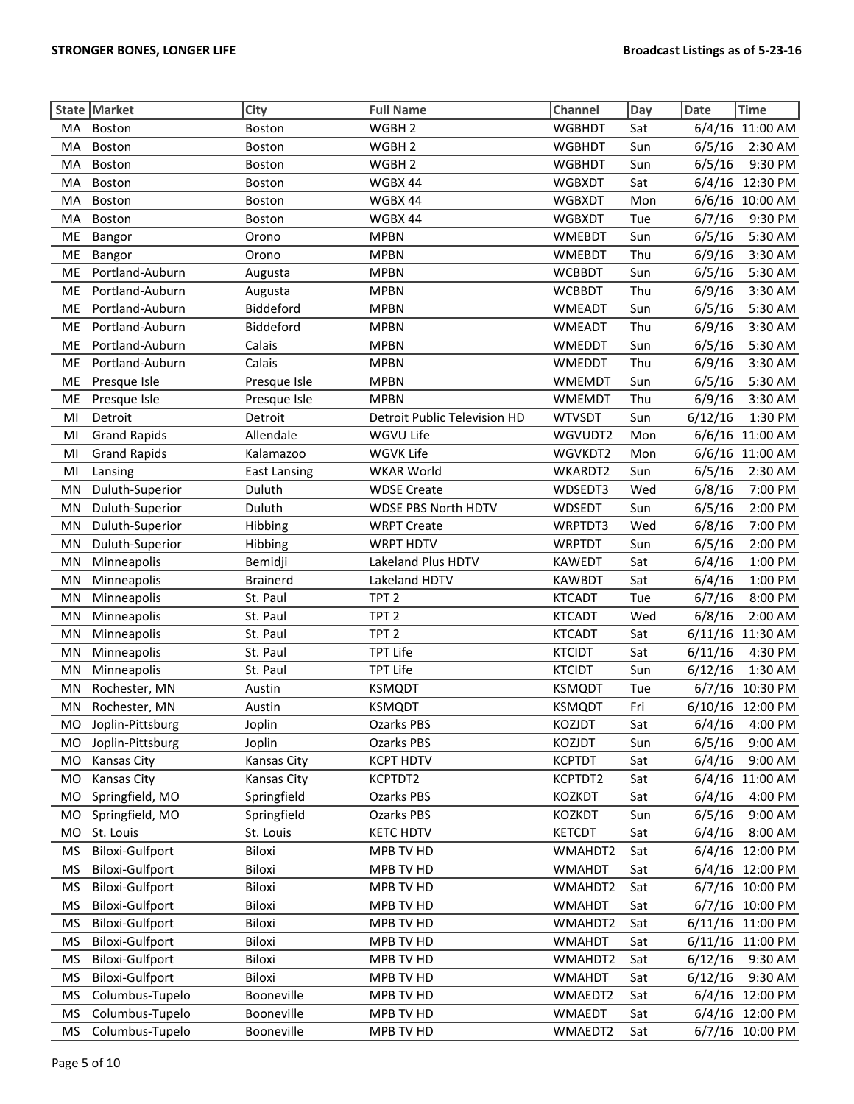|           | State Market           | City                | <b>Full Name</b>             | Channel       | Day | <b>Date</b> | <b>Time</b>      |
|-----------|------------------------|---------------------|------------------------------|---------------|-----|-------------|------------------|
| MA        | Boston                 | Boston              | WGBH <sub>2</sub>            | <b>WGBHDT</b> | Sat |             | 6/4/16 11:00 AM  |
| <b>MA</b> | <b>Boston</b>          | Boston              | WGBH <sub>2</sub>            | <b>WGBHDT</b> | Sun | 6/5/16      | 2:30 AM          |
| MA        | Boston                 | Boston              | WGBH <sub>2</sub>            | <b>WGBHDT</b> | Sun | 6/5/16      | 9:30 PM          |
| MA        | Boston                 | Boston              | WGBX 44                      | <b>WGBXDT</b> | Sat | 6/4/16      | 12:30 PM         |
| MA        | Boston                 | Boston              | WGBX 44                      | <b>WGBXDT</b> | Mon |             | 6/6/16 10:00 AM  |
| MA        | Boston                 | Boston              | WGBX 44                      | <b>WGBXDT</b> | Tue | 6/7/16      | 9:30 PM          |
| <b>ME</b> | Bangor                 | Orono               | <b>MPBN</b>                  | <b>WMEBDT</b> | Sun | 6/5/16      | 5:30 AM          |
| ME        | <b>Bangor</b>          | Orono               | <b>MPBN</b>                  | <b>WMEBDT</b> | Thu | 6/9/16      | 3:30 AM          |
| ME        | Portland-Auburn        | Augusta             | <b>MPBN</b>                  | <b>WCBBDT</b> | Sun | 6/5/16      | 5:30 AM          |
| ME        | Portland-Auburn        | Augusta             | <b>MPBN</b>                  | <b>WCBBDT</b> | Thu | 6/9/16      | 3:30 AM          |
| <b>ME</b> | Portland-Auburn        | Biddeford           | <b>MPBN</b>                  | <b>WMEADT</b> | Sun | 6/5/16      | 5:30 AM          |
| ME        | Portland-Auburn        | Biddeford           | <b>MPBN</b>                  | <b>WMEADT</b> | Thu | 6/9/16      | 3:30 AM          |
| ME        | Portland-Auburn        | Calais              | <b>MPBN</b>                  | <b>WMEDDT</b> | Sun | 6/5/16      | 5:30 AM          |
| ME        | Portland-Auburn        | Calais              | <b>MPBN</b>                  | <b>WMEDDT</b> | Thu | 6/9/16      | 3:30 AM          |
| ME        | Presque Isle           | Presque Isle        | <b>MPBN</b>                  | <b>WMEMDT</b> | Sun | 6/5/16      | 5:30 AM          |
| ME        | Presque Isle           | Presque Isle        | <b>MPBN</b>                  | <b>WMEMDT</b> | Thu | 6/9/16      | 3:30 AM          |
| MI        | Detroit                | Detroit             | Detroit Public Television HD | <b>WTVSDT</b> | Sun | 6/12/16     | 1:30 PM          |
| MI        | <b>Grand Rapids</b>    | Allendale           | WGVU Life                    | WGVUDT2       | Mon |             | 6/6/16 11:00 AM  |
| MI        | <b>Grand Rapids</b>    | Kalamazoo           | WGVK Life                    | WGVKDT2       | Mon |             | 6/6/16 11:00 AM  |
| MI        | Lansing                | <b>East Lansing</b> | <b>WKAR World</b>            | WKARDT2       | Sun | 6/5/16      | 2:30 AM          |
| MN        | Duluth-Superior        | Duluth              | <b>WDSE Create</b>           | WDSEDT3       | Wed | 6/8/16      | 7:00 PM          |
| MN        | Duluth-Superior        | Duluth              | WDSE PBS North HDTV          | WDSEDT        | Sun | 6/5/16      | 2:00 PM          |
| MN        | Duluth-Superior        | Hibbing             | <b>WRPT Create</b>           | WRPTDT3       | Wed | 6/8/16      | 7:00 PM          |
| MN        | Duluth-Superior        | Hibbing             | <b>WRPT HDTV</b>             | <b>WRPTDT</b> | Sun | 6/5/16      | 2:00 PM          |
| MN        | Minneapolis            | Bemidji             | Lakeland Plus HDTV           | <b>KAWEDT</b> | Sat | 6/4/16      | 1:00 PM          |
| MN        | Minneapolis            | <b>Brainerd</b>     | Lakeland HDTV                | <b>KAWBDT</b> | Sat | 6/4/16      | 1:00 PM          |
| MN        | Minneapolis            | St. Paul            | TPT <sub>2</sub>             | <b>KTCADT</b> | Tue | 6/7/16      | 8:00 PM          |
| MN        | Minneapolis            | St. Paul            | TPT <sub>2</sub>             | <b>KTCADT</b> | Wed | 6/8/16      | 2:00 AM          |
| MN        | Minneapolis            | St. Paul            | TPT <sub>2</sub>             | <b>KTCADT</b> | Sat |             | 6/11/16 11:30 AM |
| MN        | Minneapolis            | St. Paul            | <b>TPT Life</b>              | <b>KTCIDT</b> | Sat | 6/11/16     | 4:30 PM          |
| MN        | Minneapolis            | St. Paul            | <b>TPT Life</b>              | <b>KTCIDT</b> | Sun | 6/12/16     | 1:30 AM          |
| MN        | Rochester, MN          | Austin              | <b>KSMQDT</b>                | <b>KSMQDT</b> | Tue |             | 6/7/16 10:30 PM  |
| MN        | Rochester, MN          | Austin              | <b>KSMQDT</b>                | <b>KSMQDT</b> | Fri |             | 6/10/16 12:00 PM |
| MO        | Joplin-Pittsburg       | Joplin              | Ozarks PBS                   | KOZJDT        | Sat |             | 6/4/16  4:00 PM  |
| MO.       | Joplin-Pittsburg       | Joplin              | Ozarks PBS                   | KOZJDT        | Sun | 6/5/16      | 9:00 AM          |
| MO        | <b>Kansas City</b>     | <b>Kansas City</b>  | <b>KCPT HDTV</b>             | <b>KCPTDT</b> | Sat | 6/4/16      | 9:00 AM          |
| MO        | <b>Kansas City</b>     | Kansas City         | KCPTDT2                      | KCPTDT2       | Sat | 6/4/16      | 11:00 AM         |
| MO        | Springfield, MO        | Springfield         | <b>Ozarks PBS</b>            | <b>KOZKDT</b> | Sat | 6/4/16      | 4:00 PM          |
| <b>MO</b> | Springfield, MO        | Springfield         | Ozarks PBS                   | KOZKDT        | Sun | 6/5/16      | 9:00 AM          |
| MO        | St. Louis              | St. Louis           | <b>KETC HDTV</b>             | <b>KETCDT</b> | Sat | 6/4/16      | 8:00 AM          |
| MS        | <b>Biloxi-Gulfport</b> | Biloxi              | MPB TV HD                    | WMAHDT2       | Sat |             | 6/4/16 12:00 PM  |
| MS        | <b>Biloxi-Gulfport</b> | Biloxi              | MPB TV HD                    | <b>WMAHDT</b> | Sat |             | 6/4/16 12:00 PM  |
| MS        | <b>Biloxi-Gulfport</b> | Biloxi              | MPB TV HD                    | WMAHDT2       | Sat |             | 6/7/16 10:00 PM  |
| <b>MS</b> | <b>Biloxi-Gulfport</b> | Biloxi              | MPB TV HD                    | <b>WMAHDT</b> | Sat |             | 6/7/16 10:00 PM  |
| <b>MS</b> | <b>Biloxi-Gulfport</b> | Biloxi              | MPB TV HD                    | WMAHDT2       | Sat |             | 6/11/16 11:00 PM |
| <b>MS</b> | <b>Biloxi-Gulfport</b> | Biloxi              | MPB TV HD                    | <b>WMAHDT</b> | Sat |             | 6/11/16 11:00 PM |
| <b>MS</b> | <b>Biloxi-Gulfport</b> | Biloxi              | MPB TV HD                    | WMAHDT2       | Sat | 6/12/16     | 9:30 AM          |
| MS        | <b>Biloxi-Gulfport</b> | Biloxi              | MPB TV HD                    | <b>WMAHDT</b> | Sat | 6/12/16     | 9:30 AM          |
| MS        | Columbus-Tupelo        | Booneville          | MPB TV HD                    | WMAEDT2       | Sat |             | 6/4/16 12:00 PM  |
| <b>MS</b> | Columbus-Tupelo        | Booneville          | MPB TV HD                    | <b>WMAEDT</b> | Sat |             | 6/4/16 12:00 PM  |
| MS        | Columbus-Tupelo        | Booneville          | MPB TV HD                    | WMAEDT2       | Sat |             | 6/7/16 10:00 PM  |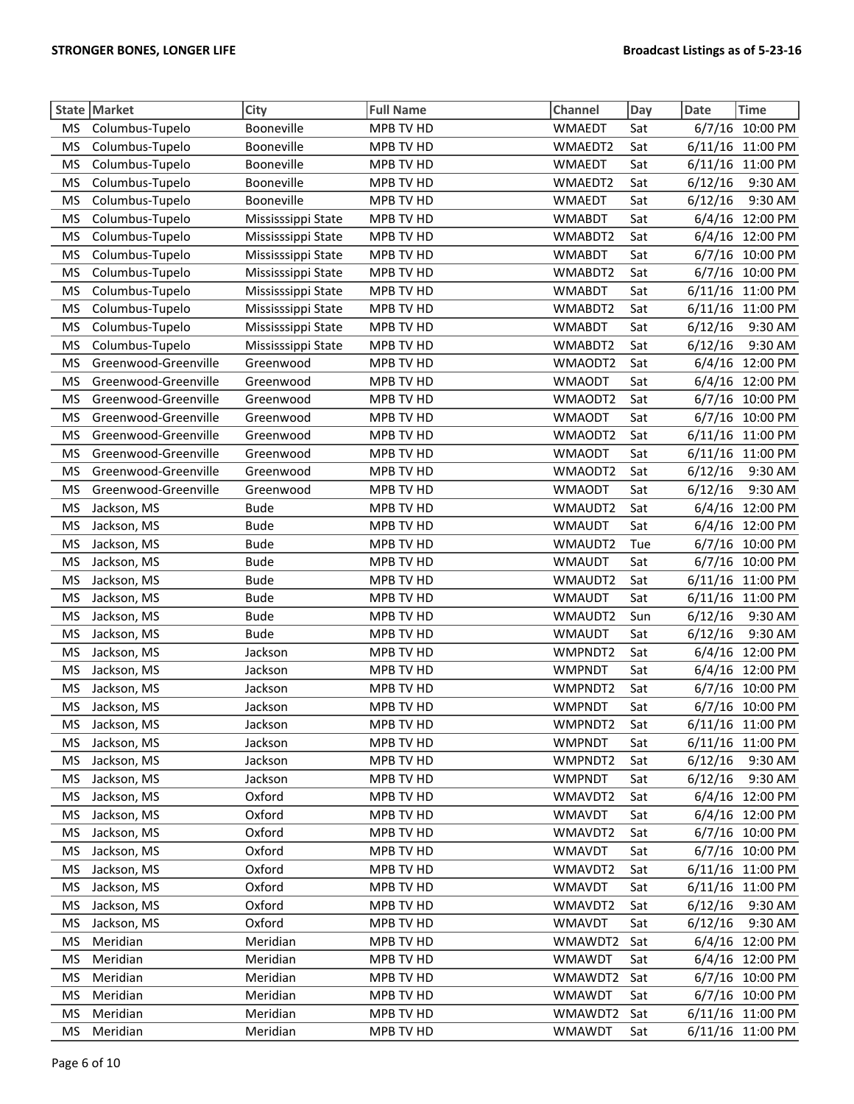|           | State Market         | City               | <b>Full Name</b> | Channel       | Day | <b>Time</b><br><b>Date</b> |
|-----------|----------------------|--------------------|------------------|---------------|-----|----------------------------|
| <b>MS</b> | Columbus-Tupelo      | Booneville         | MPB TV HD        | <b>WMAEDT</b> | Sat | 6/7/16 10:00 PM            |
| <b>MS</b> | Columbus-Tupelo      | Booneville         | MPB TV HD        | WMAEDT2       | Sat | 6/11/16 11:00 PM           |
| <b>MS</b> | Columbus-Tupelo      | Booneville         | MPB TV HD        | <b>WMAEDT</b> | Sat | 6/11/16 11:00 PM           |
| <b>MS</b> | Columbus-Tupelo      | Booneville         | MPB TV HD        | WMAEDT2       | Sat | 6/12/16<br>9:30 AM         |
| <b>MS</b> | Columbus-Tupelo      | Booneville         | MPB TV HD        | <b>WMAEDT</b> | Sat | 6/12/16<br>9:30 AM         |
| <b>MS</b> | Columbus-Tupelo      | Mississsippi State | MPB TV HD        | <b>WMABDT</b> | Sat | 12:00 PM<br>6/4/16         |
| <b>MS</b> | Columbus-Tupelo      | Mississsippi State | MPB TV HD        | WMABDT2       | Sat | 6/4/16 12:00 PM            |
| <b>MS</b> | Columbus-Tupelo      | Mississsippi State | MPB TV HD        | <b>WMABDT</b> | Sat | 10:00 PM<br>6/7/16         |
| <b>MS</b> | Columbus-Tupelo      | Mississsippi State | MPB TV HD        | WMABDT2       | Sat | 6/7/16<br>10:00 PM         |
| <b>MS</b> | Columbus-Tupelo      | Mississsippi State | MPB TV HD        | <b>WMABDT</b> | Sat | 6/11/16 11:00 PM           |
| <b>MS</b> | Columbus-Tupelo      | Mississsippi State | MPB TV HD        | WMABDT2       | Sat | 6/11/16 11:00 PM           |
| <b>MS</b> | Columbus-Tupelo      | Mississsippi State | MPB TV HD        | <b>WMABDT</b> | Sat | 6/12/16<br>9:30 AM         |
| <b>MS</b> | Columbus-Tupelo      | Mississsippi State | MPB TV HD        | WMABDT2       | Sat | 6/12/16<br>9:30 AM         |
| <b>MS</b> | Greenwood-Greenville | Greenwood          | MPB TV HD        | WMAODT2       | Sat | 6/4/16 12:00 PM            |
| <b>MS</b> | Greenwood-Greenville | Greenwood          | MPB TV HD        | <b>WMAODT</b> | Sat | 6/4/16 12:00 PM            |
| <b>MS</b> | Greenwood-Greenville | Greenwood          | MPB TV HD        | WMAODT2       | Sat | 6/7/16 10:00 PM            |
| <b>MS</b> | Greenwood-Greenville | Greenwood          | MPB TV HD        | <b>WMAODT</b> | Sat | 6/7/16 10:00 PM            |
| <b>MS</b> | Greenwood-Greenville | Greenwood          | MPB TV HD        | WMAODT2       | Sat | 6/11/16<br>11:00 PM        |
| <b>MS</b> | Greenwood-Greenville | Greenwood          | MPB TV HD        | <b>WMAODT</b> | Sat | 6/11/16<br>11:00 PM        |
| <b>MS</b> | Greenwood-Greenville | Greenwood          | MPB TV HD        | WMAODT2       | Sat | 9:30 AM<br>6/12/16         |
| <b>MS</b> | Greenwood-Greenville | Greenwood          | MPB TV HD        | <b>WMAODT</b> | Sat | 6/12/16<br>9:30 AM         |
| <b>MS</b> | Jackson, MS          | <b>Bude</b>        | MPB TV HD        | WMAUDT2       | Sat | 6/4/16 12:00 PM            |
| <b>MS</b> | Jackson, MS          | <b>Bude</b>        | MPB TV HD        | <b>WMAUDT</b> | Sat | 6/4/16 12:00 PM            |
| <b>MS</b> | Jackson, MS          | <b>Bude</b>        | MPB TV HD        | WMAUDT2       | Tue | 6/7/16<br>10:00 PM         |
| <b>MS</b> | Jackson, MS          | <b>Bude</b>        | MPB TV HD        | <b>WMAUDT</b> | Sat | 6/7/16 10:00 PM            |
| <b>MS</b> | Jackson, MS          | <b>Bude</b>        | MPB TV HD        | WMAUDT2       | Sat | 6/11/16 11:00 PM           |
| <b>MS</b> | Jackson, MS          | <b>Bude</b>        | MPB TV HD        | <b>WMAUDT</b> | Sat | 6/11/16 11:00 PM           |
| <b>MS</b> | Jackson, MS          | <b>Bude</b>        | MPB TV HD        | WMAUDT2       | Sun | 6/12/16<br>9:30 AM         |
| <b>MS</b> | Jackson, MS          | <b>Bude</b>        | MPB TV HD        | <b>WMAUDT</b> | Sat | 9:30 AM<br>6/12/16         |
| <b>MS</b> | Jackson, MS          | Jackson            | MPB TV HD        | WMPNDT2       | Sat | 6/4/16<br>12:00 PM         |
| <b>MS</b> | Jackson, MS          | Jackson            | MPB TV HD        | <b>WMPNDT</b> | Sat | 6/4/16<br>12:00 PM         |
| <b>MS</b> | Jackson, MS          | Jackson            | MPB TV HD        | WMPNDT2       | Sat | 6/7/16 10:00 PM            |
| <b>MS</b> | Jackson, MS          | Jackson            | MPB TV HD        | <b>WMPNDT</b> | Sat | 6/7/16 10:00 PM            |
| <b>MS</b> | Jackson, MS          | Jackson            | MPB TV HD        | WMPNDT2       | Sat | 6/11/16 11:00 PM           |
| ΜS        | Jackson, MS          | Jackson            | MPB TV HD        | <b>WMPNDT</b> | Sat | 6/11/16 11:00 PM           |
| <b>MS</b> | Jackson, MS          | Jackson            | MPB TV HD        | WMPNDT2       | Sat | 6/12/16<br>9:30 AM         |
| <b>MS</b> | Jackson, MS          | Jackson            | MPB TV HD        | <b>WMPNDT</b> | Sat | 6/12/16<br>9:30 AM         |
| <b>MS</b> | Jackson, MS          | Oxford             | MPB TV HD        | WMAVDT2       | Sat | 6/4/16 12:00 PM            |
| <b>MS</b> | Jackson, MS          | Oxford             | MPB TV HD        | <b>WMAVDT</b> | Sat | 6/4/16 12:00 PM            |
| <b>MS</b> | Jackson, MS          | Oxford             | MPB TV HD        | WMAVDT2       | Sat | 6/7/16<br>10:00 PM         |
| <b>MS</b> | Jackson, MS          | Oxford             | MPB TV HD        | <b>WMAVDT</b> | Sat | 6/7/16 10:00 PM            |
| <b>MS</b> | Jackson, MS          | Oxford             | MPB TV HD        | WMAVDT2       | Sat | 6/11/16 11:00 PM           |
| <b>MS</b> | Jackson, MS          | Oxford             | MPB TV HD        | <b>WMAVDT</b> | Sat | 6/11/16 11:00 PM           |
| <b>MS</b> | Jackson, MS          | Oxford             | MPB TV HD        | WMAVDT2       | Sat | 6/12/16<br>9:30 AM         |
| <b>MS</b> | Jackson, MS          | Oxford             | MPB TV HD        | <b>WMAVDT</b> | Sat | 9:30 AM<br>6/12/16         |
| <b>MS</b> | Meridian             | Meridian           | MPB TV HD        | WMAWDT2       | Sat | 6/4/16 12:00 PM            |
| MS        | Meridian             | Meridian           | MPB TV HD        | <b>WMAWDT</b> | Sat | 6/4/16 12:00 PM            |
| <b>MS</b> | Meridian             | Meridian           | MPB TV HD        | WMAWDT2       | Sat | 6/7/16 10:00 PM            |
| <b>MS</b> | Meridian             | Meridian           | MPB TV HD        | <b>WMAWDT</b> | Sat | 6/7/16 10:00 PM            |
| <b>MS</b> | Meridian             | Meridian           | MPB TV HD        | WMAWDT2       | Sat | 6/11/16 11:00 PM           |
| <b>MS</b> | Meridian             | Meridian           | MPB TV HD        | <b>WMAWDT</b> | Sat | 6/11/16 11:00 PM           |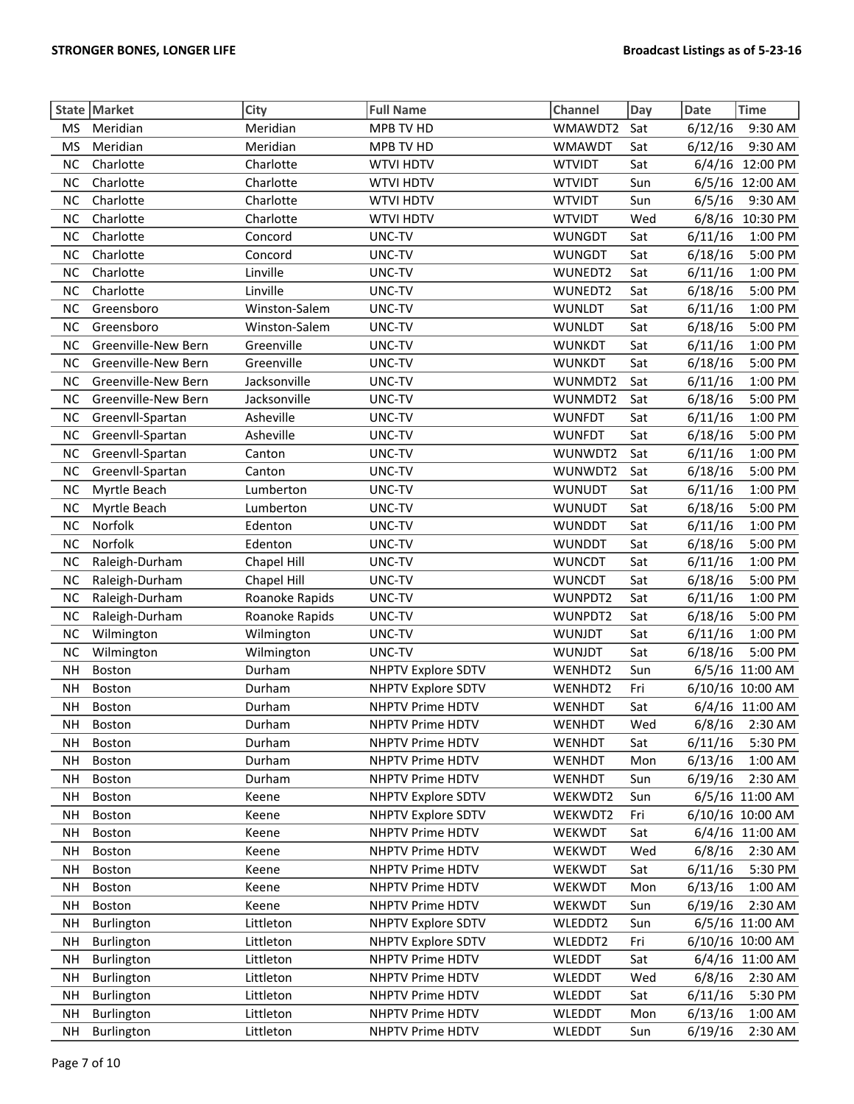|           | State Market        | City           | <b>Full Name</b>          | Channel       | Day | <b>Date</b> | <b>Time</b>      |
|-----------|---------------------|----------------|---------------------------|---------------|-----|-------------|------------------|
| <b>MS</b> | Meridian            | Meridian       | MPB TV HD                 | WMAWDT2       | Sat | 6/12/16     | 9:30 AM          |
| <b>MS</b> | Meridian            | Meridian       | MPB TV HD                 | <b>WMAWDT</b> | Sat | 6/12/16     | 9:30 AM          |
| <b>NC</b> | Charlotte           | Charlotte      | <b>WTVI HDTV</b>          | <b>WTVIDT</b> | Sat | 6/4/16      | 12:00 PM         |
| <b>NC</b> | Charlotte           | Charlotte      | <b>WTVI HDTV</b>          | <b>WTVIDT</b> | Sun |             | 6/5/16 12:00 AM  |
| <b>NC</b> | Charlotte           | Charlotte      | <b>WTVI HDTV</b>          | <b>WTVIDT</b> | Sun | 6/5/16      | 9:30 AM          |
| <b>NC</b> | Charlotte           | Charlotte      | <b>WTVI HDTV</b>          | <b>WTVIDT</b> | Wed | 6/8/16      | 10:30 PM         |
| <b>NC</b> | Charlotte           | Concord        | UNC-TV                    | <b>WUNGDT</b> | Sat | 6/11/16     | 1:00 PM          |
| <b>NC</b> | Charlotte           | Concord        | UNC-TV                    | <b>WUNGDT</b> | Sat | 6/18/16     | 5:00 PM          |
| <b>NC</b> | Charlotte           | Linville       | UNC-TV                    | WUNEDT2       | Sat | 6/11/16     | 1:00 PM          |
| <b>NC</b> | Charlotte           | Linville       | UNC-TV                    | WUNEDT2       | Sat | 6/18/16     | 5:00 PM          |
| <b>NC</b> | Greensboro          | Winston-Salem  | UNC-TV                    | <b>WUNLDT</b> | Sat | 6/11/16     | 1:00 PM          |
| NC        | Greensboro          | Winston-Salem  | UNC-TV                    | <b>WUNLDT</b> | Sat | 6/18/16     | 5:00 PM          |
| <b>NC</b> | Greenville-New Bern | Greenville     | UNC-TV                    | <b>WUNKDT</b> | Sat | 6/11/16     | 1:00 PM          |
| <b>NC</b> | Greenville-New Bern | Greenville     | UNC-TV                    | <b>WUNKDT</b> | Sat | 6/18/16     | 5:00 PM          |
| <b>NC</b> | Greenville-New Bern | Jacksonville   | UNC-TV                    | WUNMDT2       | Sat | 6/11/16     | 1:00 PM          |
| <b>NC</b> | Greenville-New Bern | Jacksonville   | UNC-TV                    | WUNMDT2       | Sat | 6/18/16     | 5:00 PM          |
| <b>NC</b> | Greenvll-Spartan    | Asheville      | UNC-TV                    | <b>WUNFDT</b> | Sat | 6/11/16     | 1:00 PM          |
| <b>NC</b> | Greenvll-Spartan    | Asheville      | UNC-TV                    | <b>WUNFDT</b> | Sat | 6/18/16     | 5:00 PM          |
| <b>NC</b> | Greenvll-Spartan    | Canton         | UNC-TV                    | WUNWDT2       | Sat | 6/11/16     | 1:00 PM          |
| <b>NC</b> | Greenvll-Spartan    | Canton         | UNC-TV                    | WUNWDT2       | Sat | 6/18/16     | 5:00 PM          |
| <b>NC</b> | Myrtle Beach        | Lumberton      | UNC-TV                    | <b>WUNUDT</b> | Sat | 6/11/16     | 1:00 PM          |
| <b>NC</b> | Myrtle Beach        | Lumberton      | UNC-TV                    | <b>WUNUDT</b> | Sat | 6/18/16     | 5:00 PM          |
| <b>NC</b> | Norfolk             | Edenton        | UNC-TV                    | <b>WUNDDT</b> | Sat | 6/11/16     | 1:00 PM          |
| <b>NC</b> | Norfolk             | Edenton        | UNC-TV                    | <b>WUNDDT</b> | Sat | 6/18/16     | 5:00 PM          |
| <b>NC</b> | Raleigh-Durham      | Chapel Hill    | UNC-TV                    | <b>WUNCDT</b> | Sat | 6/11/16     | 1:00 PM          |
| <b>NC</b> | Raleigh-Durham      | Chapel Hill    | UNC-TV                    | <b>WUNCDT</b> | Sat | 6/18/16     | 5:00 PM          |
| <b>NC</b> | Raleigh-Durham      | Roanoke Rapids | UNC-TV                    | WUNPDT2       | Sat | 6/11/16     | 1:00 PM          |
| <b>NC</b> | Raleigh-Durham      | Roanoke Rapids | UNC-TV                    | WUNPDT2       | Sat | 6/18/16     | 5:00 PM          |
| <b>NC</b> | Wilmington          | Wilmington     | UNC-TV                    | <b>WUNJDT</b> | Sat | 6/11/16     | 1:00 PM          |
| <b>NC</b> | Wilmington          | Wilmington     | UNC-TV                    | <b>WUNJDT</b> | Sat | 6/18/16     | 5:00 PM          |
| <b>NH</b> | Boston              | Durham         | <b>NHPTV Explore SDTV</b> | WENHDT2       | Sun |             | 6/5/16 11:00 AM  |
| <b>NH</b> | Boston              | Durham         | <b>NHPTV Explore SDTV</b> | WENHDT2       | Fri |             | 6/10/16 10:00 AM |
| <b>NH</b> | Boston              | Durham         | NHPTV Prime HDTV          | <b>WENHDT</b> | Sat |             | 6/4/16 11:00 AM  |
| <b>NH</b> | Boston              | Durham         | NHPTV Prime HDTV          | <b>WENHDT</b> | Wed |             | 6/8/16 2:30 AM   |
| NΗ        | <b>Boston</b>       | Durham         | NHPTV Prime HDTV          | <b>WENHDT</b> | Sat | 6/11/16     | 5:30 PM          |
| <b>NH</b> | <b>Boston</b>       | Durham         | NHPTV Prime HDTV          | <b>WENHDT</b> | Mon | 6/13/16     | 1:00 AM          |
| <b>NH</b> | Boston              | Durham         | NHPTV Prime HDTV          | WENHDT        | Sun | 6/19/16     | 2:30 AM          |
| <b>NH</b> | <b>Boston</b>       | Keene          | <b>NHPTV Explore SDTV</b> | WEKWDT2       | Sun |             | 6/5/16 11:00 AM  |
| <b>NH</b> | <b>Boston</b>       | Keene          | <b>NHPTV Explore SDTV</b> | WEKWDT2       | Fri |             | 6/10/16 10:00 AM |
| <b>NH</b> | Boston              | Keene          | NHPTV Prime HDTV          | WEKWDT        | Sat |             | 6/4/16 11:00 AM  |
| <b>NH</b> | Boston              | Keene          | NHPTV Prime HDTV          | WEKWDT        | Wed | 6/8/16      | 2:30 AM          |
| <b>NH</b> | Boston              | Keene          | NHPTV Prime HDTV          | WEKWDT        | Sat | 6/11/16     | 5:30 PM          |
| <b>NH</b> | Boston              | Keene          | NHPTV Prime HDTV          | WEKWDT        | Mon | 6/13/16     | 1:00 AM          |
| <b>NH</b> | <b>Boston</b>       | Keene          | NHPTV Prime HDTV          | WEKWDT        | Sun | 6/19/16     | 2:30 AM          |
| <b>NH</b> | Burlington          | Littleton      | <b>NHPTV Explore SDTV</b> | WLEDDT2       | Sun |             | 6/5/16 11:00 AM  |
| <b>NH</b> | Burlington          | Littleton      | <b>NHPTV Explore SDTV</b> | WLEDDT2       | Fri |             | 6/10/16 10:00 AM |
| <b>NH</b> | Burlington          | Littleton      | NHPTV Prime HDTV          | <b>WLEDDT</b> | Sat |             | 6/4/16 11:00 AM  |
| <b>NH</b> | Burlington          | Littleton      | NHPTV Prime HDTV          | <b>WLEDDT</b> | Wed | 6/8/16      | 2:30 AM          |
| <b>NH</b> | Burlington          | Littleton      | NHPTV Prime HDTV          | <b>WLEDDT</b> | Sat | 6/11/16     | 5:30 PM          |
| <b>NH</b> | Burlington          | Littleton      | NHPTV Prime HDTV          | <b>WLEDDT</b> | Mon | 6/13/16     | 1:00 AM          |
| <b>NH</b> | Burlington          | Littleton      | NHPTV Prime HDTV          | <b>WLEDDT</b> | Sun | 6/19/16     | 2:30 AM          |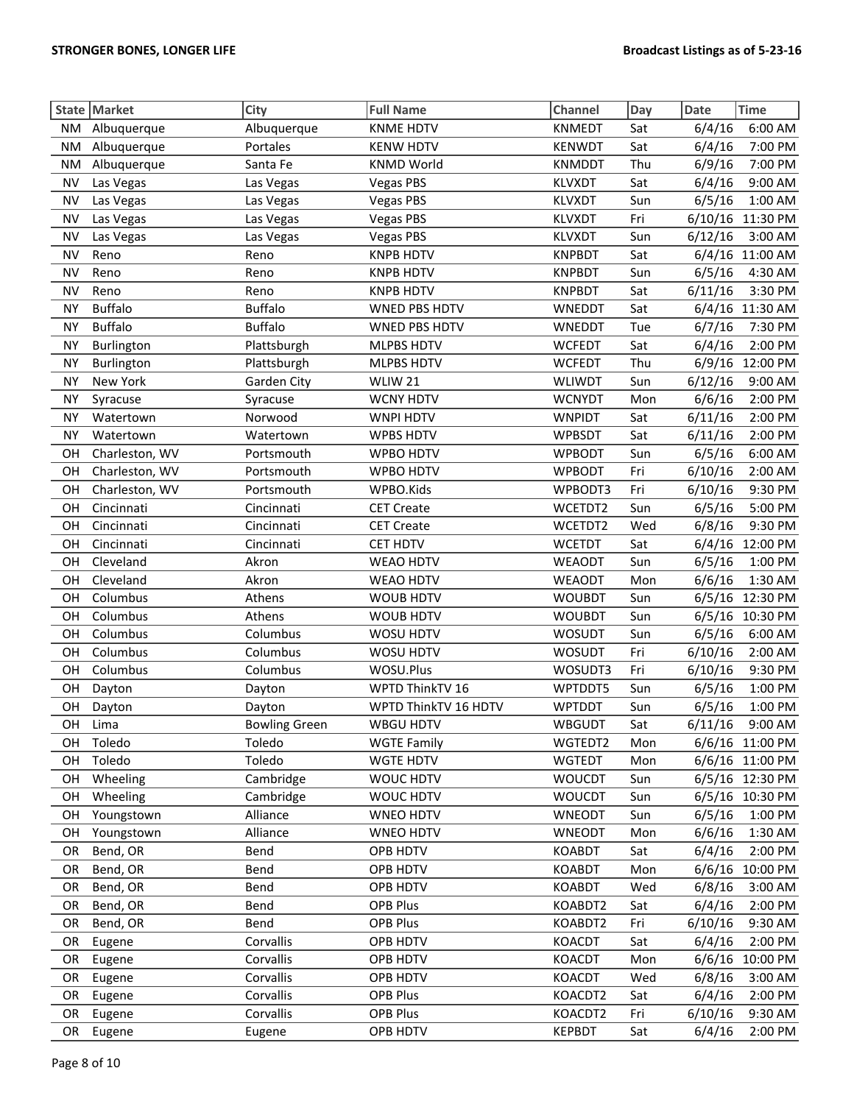|           | State Market   | City                 | <b>Full Name</b>     | Channel       | Day | <b>Date</b> | <b>Time</b>     |
|-----------|----------------|----------------------|----------------------|---------------|-----|-------------|-----------------|
| ΝM        | Albuquerque    | Albuquerque          | <b>KNME HDTV</b>     | <b>KNMEDT</b> | Sat | 6/4/16      | 6:00 AM         |
| <b>NM</b> | Albuquerque    | Portales             | <b>KENW HDTV</b>     | <b>KENWDT</b> | Sat | 6/4/16      | 7:00 PM         |
| <b>NM</b> | Albuquerque    | Santa Fe             | <b>KNMD World</b>    | <b>KNMDDT</b> | Thu | 6/9/16      | 7:00 PM         |
| <b>NV</b> | Las Vegas      | Las Vegas            | <b>Vegas PBS</b>     | <b>KLVXDT</b> | Sat | 6/4/16      | 9:00 AM         |
| <b>NV</b> | Las Vegas      | Las Vegas            | <b>Vegas PBS</b>     | <b>KLVXDT</b> | Sun | 6/5/16      | 1:00 AM         |
| <b>NV</b> | Las Vegas      | Las Vegas            | <b>Vegas PBS</b>     | <b>KLVXDT</b> | Fri | 6/10/16     | 11:30 PM        |
| <b>NV</b> | Las Vegas      | Las Vegas            | <b>Vegas PBS</b>     | KLVXDT        | Sun | 6/12/16     | 3:00 AM         |
| <b>NV</b> | Reno           | Reno                 | <b>KNPB HDTV</b>     | <b>KNPBDT</b> | Sat |             | 6/4/16 11:00 AM |
| <b>NV</b> | Reno           | Reno                 | <b>KNPB HDTV</b>     | <b>KNPBDT</b> | Sun | 6/5/16      | 4:30 AM         |
| <b>NV</b> | Reno           | Reno                 | <b>KNPB HDTV</b>     | <b>KNPBDT</b> | Sat | 6/11/16     | 3:30 PM         |
| <b>NY</b> | <b>Buffalo</b> | <b>Buffalo</b>       | <b>WNED PBS HDTV</b> | WNEDDT        | Sat |             | 6/4/16 11:30 AM |
| <b>NY</b> | <b>Buffalo</b> | <b>Buffalo</b>       | <b>WNED PBS HDTV</b> | WNEDDT        | Tue | 6/7/16      | 7:30 PM         |
| <b>NY</b> | Burlington     | Plattsburgh          | MLPBS HDTV           | <b>WCFEDT</b> | Sat | 6/4/16      | 2:00 PM         |
| <b>NY</b> | Burlington     | Plattsburgh          | MLPBS HDTV           | <b>WCFEDT</b> | Thu | 6/9/16      | 12:00 PM        |
| <b>NY</b> | New York       | Garden City          | WLIW 21              | <b>WLIWDT</b> | Sun | 6/12/16     | 9:00 AM         |
| <b>NY</b> | Syracuse       | Syracuse             | <b>WCNY HDTV</b>     | <b>WCNYDT</b> | Mon | 6/6/16      | 2:00 PM         |
| <b>NY</b> | Watertown      | Norwood              | <b>WNPI HDTV</b>     | <b>WNPIDT</b> | Sat | 6/11/16     | 2:00 PM         |
| <b>NY</b> | Watertown      | Watertown            | <b>WPBS HDTV</b>     | <b>WPBSDT</b> | Sat | 6/11/16     | 2:00 PM         |
| OH        | Charleston, WV | Portsmouth           | WPBO HDTV            | <b>WPBODT</b> | Sun | 6/5/16      | 6:00 AM         |
| OH        | Charleston, WV | Portsmouth           | WPBO HDTV            | <b>WPBODT</b> | Fri | 6/10/16     | 2:00 AM         |
| OH        | Charleston, WV | Portsmouth           | WPBO.Kids            | WPBODT3       | Fri | 6/10/16     | 9:30 PM         |
| OH        | Cincinnati     | Cincinnati           | <b>CET Create</b>    | WCETDT2       | Sun | 6/5/16      | 5:00 PM         |
| OH        | Cincinnati     | Cincinnati           | <b>CET Create</b>    | WCETDT2       | Wed | 6/8/16      | 9:30 PM         |
| OH        | Cincinnati     | Cincinnati           | CET HDTV             | <b>WCETDT</b> | Sat |             | 6/4/16 12:00 PM |
| OH        | Cleveland      | Akron                | <b>WEAO HDTV</b>     | <b>WEAODT</b> | Sun | 6/5/16      | 1:00 PM         |
| OH        | Cleveland      | Akron                | WEAO HDTV            | <b>WEAODT</b> | Mon | 6/6/16      | 1:30 AM         |
| OH        | Columbus       | Athens               | <b>WOUB HDTV</b>     | <b>WOUBDT</b> | Sun |             | 6/5/16 12:30 PM |
| OH        | Columbus       | Athens               | WOUB HDTV            | <b>WOUBDT</b> | Sun | 6/5/16      | 10:30 PM        |
| OH        | Columbus       | Columbus             | WOSU HDTV            | <b>WOSUDT</b> | Sun | 6/5/16      | 6:00 AM         |
| OH        | Columbus       | Columbus             | WOSU HDTV            | WOSUDT        | Fri | 6/10/16     | 2:00 AM         |
| OH        | Columbus       | Columbus             | WOSU.Plus            | WOSUDT3       | Fri | 6/10/16     | 9:30 PM         |
| OH        | Dayton         | Dayton               | WPTD ThinkTV 16      | WPTDDT5       | Sun | 6/5/16      | 1:00 PM         |
| OH        | Dayton         | Dayton               | WPTD ThinkTV 16 HDTV | <b>WPTDDT</b> | Sun | 6/5/16      | 1:00 PM         |
| OH        | Lima           | <b>Bowling Green</b> | <b>WBGU HDTV</b>     | <b>WBGUDT</b> | Sat | 6/11/16     | 9:00 AM         |
| OН        | Toledo         | Toledo               | <b>WGTE Family</b>   | WGTEDT2       | Mon |             | 6/6/16 11:00 PM |
| OH        | Toledo         | Toledo               | <b>WGTE HDTV</b>     | <b>WGTEDT</b> | Mon |             | 6/6/16 11:00 PM |
| OH        | Wheeling       | Cambridge            | WOUC HDTV            | <b>WOUCDT</b> | Sun |             | 6/5/16 12:30 PM |
| OH        | Wheeling       | Cambridge            | WOUC HDTV            | <b>WOUCDT</b> | Sun |             | 6/5/16 10:30 PM |
| OH        | Youngstown     | Alliance             | <b>WNEO HDTV</b>     | WNEODT        | Sun | 6/5/16      | 1:00 PM         |
| OH        | Youngstown     | Alliance             | WNEO HDTV            | <b>WNEODT</b> | Mon | 6/6/16      | 1:30 AM         |
| <b>OR</b> | Bend, OR       | Bend                 | OPB HDTV             | <b>KOABDT</b> | Sat | 6/4/16      | 2:00 PM         |
| <b>OR</b> | Bend, OR       | Bend                 | OPB HDTV             | <b>KOABDT</b> | Mon | 6/6/16      | 10:00 PM        |
| <b>OR</b> | Bend, OR       | Bend                 | OPB HDTV             | <b>KOABDT</b> | Wed | 6/8/16      | 3:00 AM         |
| <b>OR</b> | Bend, OR       | Bend                 | OPB Plus             | KOABDT2       | Sat | 6/4/16      | 2:00 PM         |
| <b>OR</b> | Bend, OR       | Bend                 | OPB Plus             | KOABDT2       | Fri | 6/10/16     | 9:30 AM         |
| <b>OR</b> | Eugene         | Corvallis            | OPB HDTV             | KOACDT        | Sat | 6/4/16      | 2:00 PM         |
| <b>OR</b> | Eugene         | Corvallis            | OPB HDTV             | KOACDT        | Mon | 6/6/16      | 10:00 PM        |
| OR        | Eugene         | Corvallis            | OPB HDTV             | KOACDT        | Wed | 6/8/16      | 3:00 AM         |
| OR        | Eugene         | Corvallis            | OPB Plus             | KOACDT2       | Sat | 6/4/16      | 2:00 PM         |
| OR        | Eugene         | Corvallis            | OPB Plus             | KOACDT2       | Fri | 6/10/16     | 9:30 AM         |
| <b>OR</b> | Eugene         | Eugene               | OPB HDTV             | <b>KEPBDT</b> | Sat | 6/4/16      | 2:00 PM         |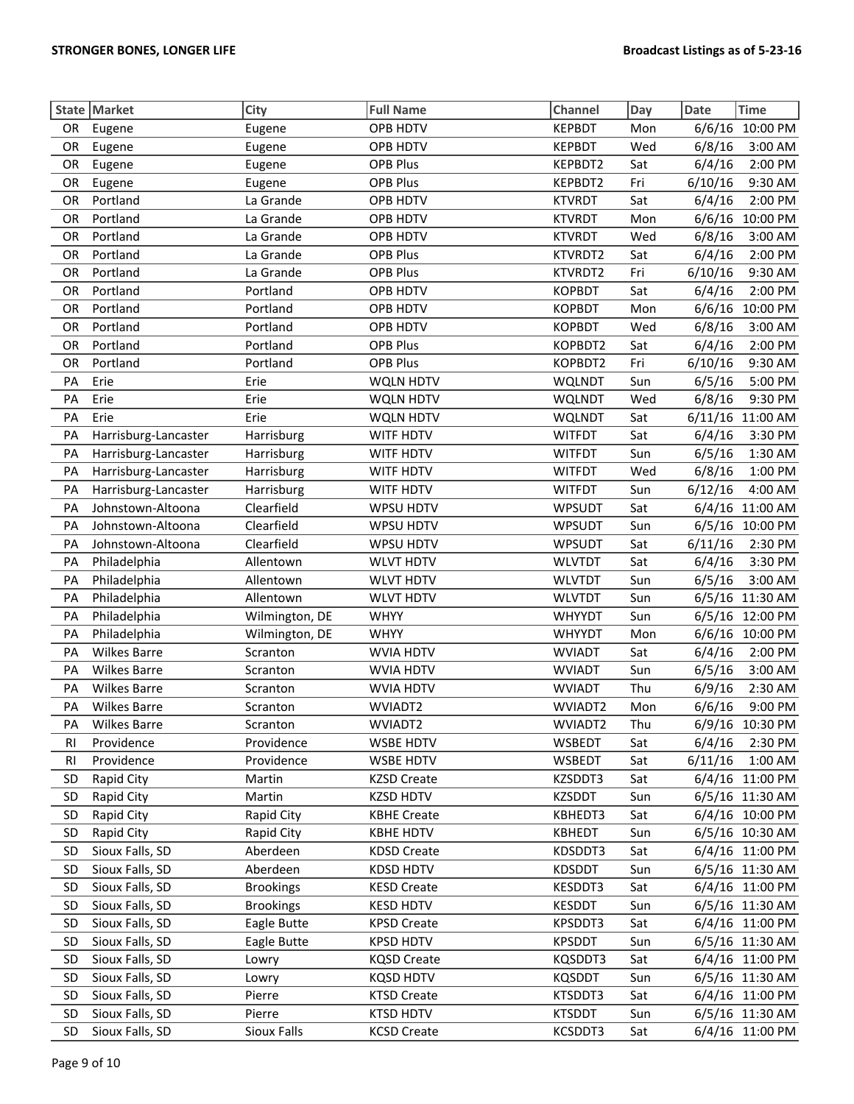|           | State Market         | City             | <b>Full Name</b>   | Channel       | Day | <b>Date</b> | <b>Time</b>     |
|-----------|----------------------|------------------|--------------------|---------------|-----|-------------|-----------------|
| <b>OR</b> | Eugene               | Eugene           | OPB HDTV           | <b>KEPBDT</b> | Mon | 6/6/16      | 10:00 PM        |
| OR        | Eugene               | Eugene           | OPB HDTV           | <b>KEPBDT</b> | Wed | 6/8/16      | 3:00 AM         |
| OR        | Eugene               | Eugene           | <b>OPB Plus</b>    | KEPBDT2       | Sat | 6/4/16      | 2:00 PM         |
| OR        | Eugene               | Eugene           | OPB Plus           | KEPBDT2       | Fri | 6/10/16     | 9:30 AM         |
| OR        | Portland             | La Grande        | OPB HDTV           | <b>KTVRDT</b> | Sat | 6/4/16      | 2:00 PM         |
| OR        | Portland             | La Grande        | OPB HDTV           | <b>KTVRDT</b> | Mon | 6/6/16      | 10:00 PM        |
| OR        | Portland             | La Grande        | OPB HDTV           | <b>KTVRDT</b> | Wed | 6/8/16      | 3:00 AM         |
| OR        | Portland             | La Grande        | OPB Plus           | KTVRDT2       | Sat | 6/4/16      | 2:00 PM         |
| OR        | Portland             | La Grande        | OPB Plus           | KTVRDT2       | Fri | 6/10/16     | 9:30 AM         |
| OR        | Portland             | Portland         | OPB HDTV           | <b>KOPBDT</b> | Sat | 6/4/16      | 2:00 PM         |
| OR        | Portland             | Portland         | OPB HDTV           | <b>KOPBDT</b> | Mon | 6/6/16      | 10:00 PM        |
| OR        | Portland             | Portland         | OPB HDTV           | <b>KOPBDT</b> | Wed | 6/8/16      | 3:00 AM         |
| OR        | Portland             | Portland         | <b>OPB Plus</b>    | KOPBDT2       | Sat | 6/4/16      | 2:00 PM         |
| OR        | Portland             | Portland         | <b>OPB Plus</b>    | KOPBDT2       | Fri | 6/10/16     | 9:30 AM         |
| PA        | Erie                 | Erie             | WQLN HDTV          | <b>WQLNDT</b> | Sun | 6/5/16      | 5:00 PM         |
| PA        | Erie                 | Erie             | <b>WQLN HDTV</b>   | <b>WQLNDT</b> | Wed | 6/8/16      | 9:30 PM         |
| PA        | Erie                 | Erie             | <b>WQLN HDTV</b>   | <b>WQLNDT</b> | Sat | 6/11/16     | 11:00 AM        |
| PA        | Harrisburg-Lancaster | Harrisburg       | WITF HDTV          | <b>WITFDT</b> | Sat | 6/4/16      | 3:30 PM         |
| PA        | Harrisburg-Lancaster | Harrisburg       | WITF HDTV          | <b>WITFDT</b> | Sun | 6/5/16      | 1:30 AM         |
| PA        | Harrisburg-Lancaster | Harrisburg       | WITF HDTV          | <b>WITFDT</b> | Wed | 6/8/16      | 1:00 PM         |
| PA        | Harrisburg-Lancaster | Harrisburg       | WITF HDTV          | <b>WITFDT</b> | Sun | 6/12/16     | 4:00 AM         |
| PA        | Johnstown-Altoona    | Clearfield       | WPSU HDTV          | <b>WPSUDT</b> | Sat |             | 6/4/16 11:00 AM |
| PA        | Johnstown-Altoona    | Clearfield       | WPSU HDTV          | <b>WPSUDT</b> | Sun |             | 6/5/16 10:00 PM |
| PA        | Johnstown-Altoona    | Clearfield       | WPSU HDTV          | <b>WPSUDT</b> | Sat | 6/11/16     | 2:30 PM         |
| PA        | Philadelphia         | Allentown        | <b>WLVT HDTV</b>   | <b>WLVTDT</b> | Sat | 6/4/16      | 3:30 PM         |
| PA        | Philadelphia         | Allentown        | <b>WLVT HDTV</b>   | <b>WLVTDT</b> | Sun | 6/5/16      | 3:00 AM         |
| PA        | Philadelphia         | Allentown        | <b>WLVT HDTV</b>   | <b>WLVTDT</b> | Sun |             | 6/5/16 11:30 AM |
| PA        | Philadelphia         | Wilmington, DE   | <b>WHYY</b>        | <b>WHYYDT</b> | Sun | 6/5/16      | 12:00 PM        |
| PA        | Philadelphia         | Wilmington, DE   | <b>WHYY</b>        | <b>WHYYDT</b> | Mon | 6/6/16      | 10:00 PM        |
| PA        | <b>Wilkes Barre</b>  | Scranton         | <b>WVIA HDTV</b>   | <b>WVIADT</b> | Sat | 6/4/16      | 2:00 PM         |
| PA        | <b>Wilkes Barre</b>  | Scranton         | <b>WVIA HDTV</b>   | <b>WVIADT</b> | Sun | 6/5/16      | 3:00 AM         |
| PA        | <b>Wilkes Barre</b>  | Scranton         | WVIA HDTV          | <b>WVIADT</b> | Thu | 6/9/16      | 2:30 AM         |
| PA        | <b>Wilkes Barre</b>  | Scranton         | WVIADT2            | WVIADT2       | Mon | 6/6/16      | 9:00 PM         |
| PA        | <b>Wilkes Barre</b>  | Scranton         | WVIADT2            | WVIADT2       | Thu |             | 6/9/16 10:30 PM |
| RI        | Providence           | Providence       | <b>WSBE HDTV</b>   | WSBEDT        | Sat | 6/4/16      | 2:30 PM         |
| RI        | Providence           | Providence       | <b>WSBE HDTV</b>   | <b>WSBEDT</b> | Sat | 6/11/16     | 1:00 AM         |
| <b>SD</b> | Rapid City           | Martin           | <b>KZSD Create</b> | KZSDDT3       | Sat |             | 6/4/16 11:00 PM |
| <b>SD</b> | Rapid City           | Martin           | <b>KZSD HDTV</b>   | <b>KZSDDT</b> | Sun |             | 6/5/16 11:30 AM |
| SD        | Rapid City           | Rapid City       | <b>KBHE Create</b> | KBHEDT3       | Sat |             | 6/4/16 10:00 PM |
| SD        | Rapid City           | Rapid City       | <b>KBHE HDTV</b>   | <b>KBHEDT</b> | Sun |             | 6/5/16 10:30 AM |
| SD        | Sioux Falls, SD      | Aberdeen         | <b>KDSD Create</b> | KDSDDT3       | Sat |             | 6/4/16 11:00 PM |
| SD        | Sioux Falls, SD      | Aberdeen         | <b>KDSD HDTV</b>   | <b>KDSDDT</b> | Sun |             | 6/5/16 11:30 AM |
| SD        | Sioux Falls, SD      | <b>Brookings</b> | <b>KESD Create</b> | KESDDT3       | Sat |             | 6/4/16 11:00 PM |
| <b>SD</b> | Sioux Falls, SD      | <b>Brookings</b> | <b>KESD HDTV</b>   | KESDDT        | Sun |             | 6/5/16 11:30 AM |
| SD        | Sioux Falls, SD      | Eagle Butte      | <b>KPSD Create</b> | KPSDDT3       | Sat |             | 6/4/16 11:00 PM |
| SD        | Sioux Falls, SD      | Eagle Butte      | <b>KPSD HDTV</b>   | <b>KPSDDT</b> | Sun |             | 6/5/16 11:30 AM |
| SD        | Sioux Falls, SD      | Lowry            | <b>KQSD Create</b> | KQSDDT3       | Sat |             | 6/4/16 11:00 PM |
| <b>SD</b> | Sioux Falls, SD      | Lowry            | <b>KQSD HDTV</b>   | <b>KQSDDT</b> | Sun |             | 6/5/16 11:30 AM |
| <b>SD</b> | Sioux Falls, SD      | Pierre           | <b>KTSD Create</b> | KTSDDT3       | Sat |             | 6/4/16 11:00 PM |
| <b>SD</b> | Sioux Falls, SD      | Pierre           | <b>KTSD HDTV</b>   | <b>KTSDDT</b> | Sun |             | 6/5/16 11:30 AM |
| SD        | Sioux Falls, SD      | Sioux Falls      | <b>KCSD Create</b> | KCSDDT3       | Sat |             | 6/4/16 11:00 PM |